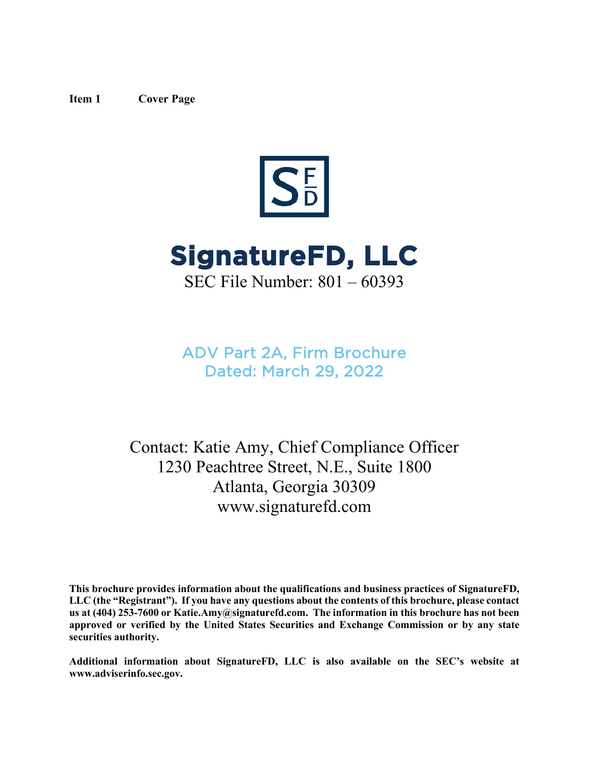### <span id="page-0-0"></span>**Item 1 Cover Page**





SEC File Number: 801 – 60393

ADV Part 2A, Firm Brochure Dated: March 29, 2022

Contact: Katie Amy, Chief Compliance Officer 1230 Peachtree Street, N.E., Suite 1800 Atlanta, Georgia 30309 www.signaturefd.com

**This brochure provides information about the qualifications and business practices of SignatureFD, LLC (the "Registrant"). If you have any questions about the contents of this brochure, please contact us at (404) 253-7600 or Katie.Amy@signaturefd.com. The information in this brochure has not been approved or verified by the United States Securities and Exchange Commission or by any state securities authority.**

**Additional information about SignatureFD, LLC is also available on the SEC's website at www.adviserinfo.sec.gov.**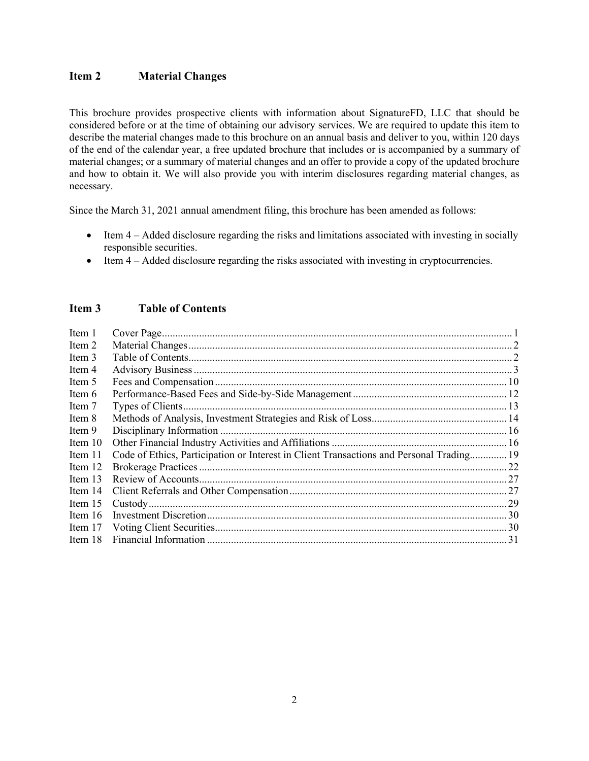# <span id="page-1-0"></span>**Item 2 Material Changes**

This brochure provides prospective clients with information about SignatureFD, LLC that should be considered before or at the time of obtaining our advisory services. We are required to update this item to describe the material changes made to this brochure on an annual basis and deliver to you, within 120 days of the end of the calendar year, a free updated brochure that includes or is accompanied by a summary of material changes; or a summary of material changes and an offer to provide a copy of the updated brochure and how to obtain it. We will also provide you with interim disclosures regarding material changes, as necessary.

Since the March 31, 2021 annual amendment filing, this brochure has been amended as follows:

- Item 4 Added disclosure regarding the risks and limitations associated with investing in socially responsible securities.
- Item 4 Added disclosure regarding the risks associated with investing in cryptocurrencies.

# <span id="page-1-1"></span>**Item 3 Table of Contents**

| Item 1    |                                                                                          |  |
|-----------|------------------------------------------------------------------------------------------|--|
| Item 2    |                                                                                          |  |
| Item 3    |                                                                                          |  |
| Item 4    |                                                                                          |  |
| Item 5    |                                                                                          |  |
| Item 6    |                                                                                          |  |
| Item 7    |                                                                                          |  |
| Item 8    |                                                                                          |  |
| Item 9    |                                                                                          |  |
| Item $10$ |                                                                                          |  |
| Item 11   | Code of Ethics, Participation or Interest in Client Transactions and Personal Trading 19 |  |
| Item 12   |                                                                                          |  |
| Item 13   |                                                                                          |  |
| Item $14$ |                                                                                          |  |
| Item $15$ |                                                                                          |  |
| Item $16$ |                                                                                          |  |
| Item 17   |                                                                                          |  |
| Item 18   |                                                                                          |  |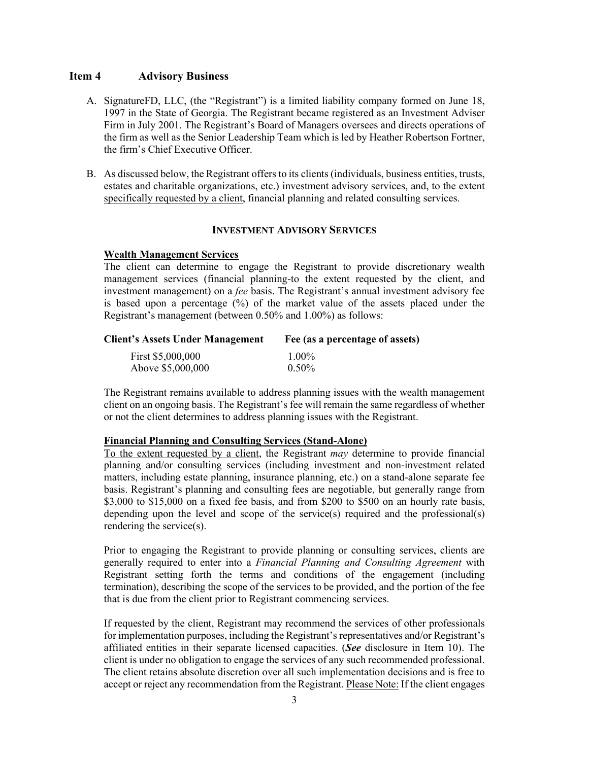## <span id="page-2-0"></span>**Item 4 Advisory Business**

- A. SignatureFD, LLC, (the "Registrant") is a limited liability company formed on June 18, 1997 in the State of Georgia. The Registrant became registered as an Investment Adviser Firm in July 2001. The Registrant's Board of Managers oversees and directs operations of the firm as well as the Senior Leadership Team which is led by Heather Robertson Fortner, the firm's Chief Executive Officer.
- B. As discussed below, the Registrant offers to its clients (individuals, business entities, trusts, estates and charitable organizations, etc.) investment advisory services, and, to the extent specifically requested by a client, financial planning and related consulting services.

# **INVESTMENT ADVISORY SERVICES**

### **Wealth Management Services**

The client can determine to engage the Registrant to provide discretionary wealth management services (financial planning-to the extent requested by the client, and investment management) on a *fee* basis. The Registrant's annual investment advisory fee is based upon a percentage  $(%)$  of the market value of the assets placed under the Registrant's management (between 0.50% and 1.00%) as follows:

# **Client's Assets Under Management Fee (as a percentage of assets)** First \$5,000,000 1.00%<br>Above \$5,000,000 0.50% Above \$5,000,000

The Registrant remains available to address planning issues with the wealth management client on an ongoing basis. The Registrant's fee will remain the same regardless of whether or not the client determines to address planning issues with the Registrant.

#### **Financial Planning and Consulting Services (Stand-Alone)**

To the extent requested by a client, the Registrant *may* determine to provide financial planning and/or consulting services (including investment and non-investment related matters, including estate planning, insurance planning, etc.) on a stand-alone separate fee basis. Registrant's planning and consulting fees are negotiable, but generally range from \$3,000 to \$15,000 on a fixed fee basis, and from \$200 to \$500 on an hourly rate basis, depending upon the level and scope of the service(s) required and the professional(s) rendering the service(s).

Prior to engaging the Registrant to provide planning or consulting services, clients are generally required to enter into a *Financial Planning and Consulting Agreement* with Registrant setting forth the terms and conditions of the engagement (including termination), describing the scope of the services to be provided, and the portion of the fee that is due from the client prior to Registrant commencing services.

If requested by the client, Registrant may recommend the services of other professionals for implementation purposes, including the Registrant's representatives and/or Registrant's affiliated entities in their separate licensed capacities. (*See* disclosure in Item 10). The client is under no obligation to engage the services of any such recommended professional. The client retains absolute discretion over all such implementation decisions and is free to accept or reject any recommendation from the Registrant. Please Note: If the client engages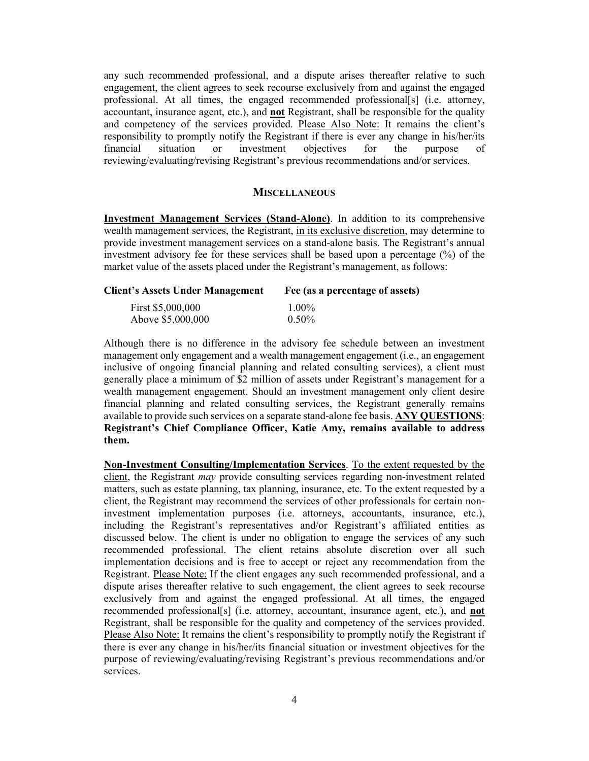any such recommended professional, and a dispute arises thereafter relative to such engagement, the client agrees to seek recourse exclusively from and against the engaged professional. At all times, the engaged recommended professional[s] (i.e. attorney, accountant, insurance agent, etc.), and **not** Registrant, shall be responsible for the quality and competency of the services provided. Please Also Note: It remains the client's responsibility to promptly notify the Registrant if there is ever any change in his/her/its financial situation or investment objectives for the purpose of reviewing/evaluating/revising Registrant's previous recommendations and/or services.

#### **MISCELLANEOUS**

**Investment Management Services (Stand-Alone)**. In addition to its comprehensive wealth management services, the Registrant, in its exclusive discretion, may determine to provide investment management services on a stand-alone basis. The Registrant's annual investment advisory fee for these services shall be based upon a percentage (%) of the market value of the assets placed under the Registrant's management, as follows:

| <b>Client's Assets Under Management</b> | Fee (as a percentage of assets) |  |
|-----------------------------------------|---------------------------------|--|
| First \$5,000,000                       | $1.00\%$                        |  |
| Above \$5,000,000                       | $0.50\%$                        |  |

Although there is no difference in the advisory fee schedule between an investment management only engagement and a wealth management engagement (i.e., an engagement inclusive of ongoing financial planning and related consulting services), a client must generally place a minimum of \$2 million of assets under Registrant's management for a wealth management engagement. Should an investment management only client desire financial planning and related consulting services, the Registrant generally remains available to provide such services on a separate stand-alone fee basis. **ANY QUESTIONS**: **Registrant's Chief Compliance Officer, Katie Amy, remains available to address them.**

**Non-Investment Consulting/Implementation Services**. To the extent requested by the client, the Registrant *may* provide consulting services regarding non-investment related matters, such as estate planning, tax planning, insurance, etc. To the extent requested by a client, the Registrant may recommend the services of other professionals for certain noninvestment implementation purposes (i.e. attorneys, accountants, insurance, etc.), including the Registrant's representatives and/or Registrant's affiliated entities as discussed below. The client is under no obligation to engage the services of any such recommended professional. The client retains absolute discretion over all such implementation decisions and is free to accept or reject any recommendation from the Registrant. Please Note: If the client engages any such recommended professional, and a dispute arises thereafter relative to such engagement, the client agrees to seek recourse exclusively from and against the engaged professional. At all times, the engaged recommended professional[s] (i.e. attorney, accountant, insurance agent, etc.), and **not** Registrant, shall be responsible for the quality and competency of the services provided. Please Also Note: It remains the client's responsibility to promptly notify the Registrant if there is ever any change in his/her/its financial situation or investment objectives for the purpose of reviewing/evaluating/revising Registrant's previous recommendations and/or services.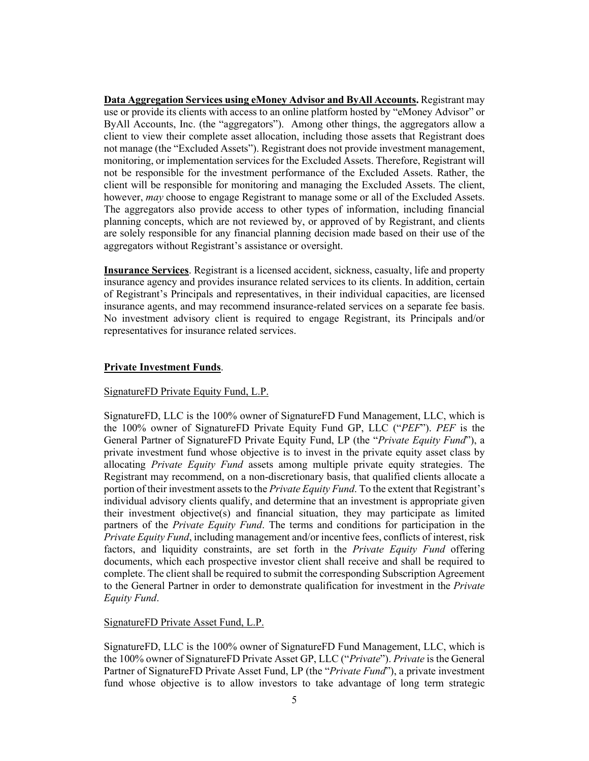**Data Aggregation Services using eMoney Advisor and ByAll Accounts.** Registrant may use or provide its clients with access to an online platform hosted by "eMoney Advisor" or ByAll Accounts, Inc. (the "aggregators"). Among other things, the aggregators allow a client to view their complete asset allocation, including those assets that Registrant does not manage (the "Excluded Assets"). Registrant does not provide investment management, monitoring, or implementation services for the Excluded Assets. Therefore, Registrant will not be responsible for the investment performance of the Excluded Assets. Rather, the client will be responsible for monitoring and managing the Excluded Assets. The client, however, *may* choose to engage Registrant to manage some or all of the Excluded Assets. The aggregators also provide access to other types of information, including financial planning concepts, which are not reviewed by, or approved of by Registrant, and clients are solely responsible for any financial planning decision made based on their use of the aggregators without Registrant's assistance or oversight.

**Insurance Services**. Registrant is a licensed accident, sickness, casualty, life and property insurance agency and provides insurance related services to its clients. In addition, certain of Registrant's Principals and representatives, in their individual capacities, are licensed insurance agents, and may recommend insurance-related services on a separate fee basis. No investment advisory client is required to engage Registrant, its Principals and/or representatives for insurance related services.

### **Private Investment Funds**.

### SignatureFD Private Equity Fund, L.P.

SignatureFD, LLC is the 100% owner of SignatureFD Fund Management, LLC, which is the 100% owner of SignatureFD Private Equity Fund GP, LLC ("*PEF*"). *PEF* is the General Partner of SignatureFD Private Equity Fund, LP (the "*Private Equity Fund*"), a private investment fund whose objective is to invest in the private equity asset class by allocating *Private Equity Fund* assets among multiple private equity strategies. The Registrant may recommend, on a non-discretionary basis, that qualified clients allocate a portion of their investment assets to the *Private Equity Fund*. To the extent that Registrant's individual advisory clients qualify, and determine that an investment is appropriate given their investment objective(s) and financial situation, they may participate as limited partners of the *Private Equity Fund*. The terms and conditions for participation in the *Private Equity Fund*, including management and/or incentive fees, conflicts of interest, risk factors, and liquidity constraints, are set forth in the *Private Equity Fund* offering documents, which each prospective investor client shall receive and shall be required to complete. The client shall be required to submit the corresponding Subscription Agreement to the General Partner in order to demonstrate qualification for investment in the *Private Equity Fund*.

### SignatureFD Private Asset Fund, L.P.

SignatureFD, LLC is the 100% owner of SignatureFD Fund Management, LLC, which is the 100% owner of SignatureFD Private Asset GP, LLC ("*Private*"). *Private* is the General Partner of SignatureFD Private Asset Fund, LP (the "*Private Fund*"), a private investment fund whose objective is to allow investors to take advantage of long term strategic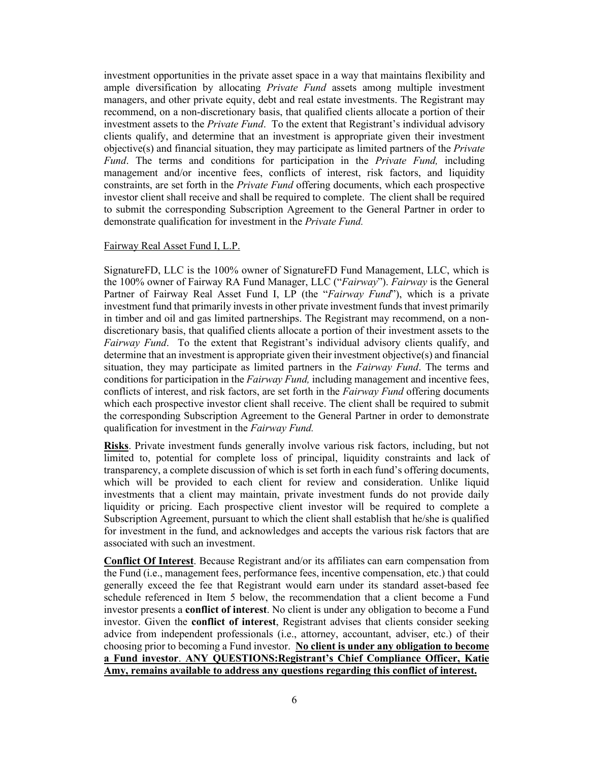investment opportunities in the private asset space in a way that maintains flexibility and ample diversification by allocating *Private Fund* assets among multiple investment managers, and other private equity, debt and real estate investments. The Registrant may recommend, on a non-discretionary basis, that qualified clients allocate a portion of their investment assets to the *Private Fund*. To the extent that Registrant's individual advisory clients qualify, and determine that an investment is appropriate given their investment objective(s) and financial situation, they may participate as limited partners of the *Private Fund*. The terms and conditions for participation in the *Private Fund,* including management and/or incentive fees, conflicts of interest, risk factors, and liquidity constraints, are set forth in the *Private Fund* offering documents, which each prospective investor client shall receive and shall be required to complete. The client shall be required to submit the corresponding Subscription Agreement to the General Partner in order to demonstrate qualification for investment in the *Private Fund.* 

### Fairway Real Asset Fund I, L.P.

SignatureFD, LLC is the 100% owner of SignatureFD Fund Management, LLC, which is the 100% owner of Fairway RA Fund Manager, LLC ("*Fairway*"). *Fairway* is the General Partner of Fairway Real Asset Fund I, LP (the "*Fairway Fund*"), which is a private investment fund that primarily invests in other private investment funds that invest primarily in timber and oil and gas limited partnerships. The Registrant may recommend, on a nondiscretionary basis, that qualified clients allocate a portion of their investment assets to the *Fairway Fund*. To the extent that Registrant's individual advisory clients qualify, and determine that an investment is appropriate given their investment objective(s) and financial situation, they may participate as limited partners in the *Fairway Fund*. The terms and conditions for participation in the *Fairway Fund,* including management and incentive fees, conflicts of interest, and risk factors, are set forth in the *Fairway Fund* offering documents which each prospective investor client shall receive. The client shall be required to submit the corresponding Subscription Agreement to the General Partner in order to demonstrate qualification for investment in the *Fairway Fund.*

**Risks**. Private investment funds generally involve various risk factors, including, but not limited to, potential for complete loss of principal, liquidity constraints and lack of transparency, a complete discussion of which is set forth in each fund's offering documents, which will be provided to each client for review and consideration. Unlike liquid investments that a client may maintain, private investment funds do not provide daily liquidity or pricing. Each prospective client investor will be required to complete a Subscription Agreement, pursuant to which the client shall establish that he/she is qualified for investment in the fund, and acknowledges and accepts the various risk factors that are associated with such an investment.

**Conflict Of Interest**. Because Registrant and/or its affiliates can earn compensation from the Fund (i.e., management fees, performance fees, incentive compensation, etc.) that could generally exceed the fee that Registrant would earn under its standard asset-based fee schedule referenced in Item 5 below, the recommendation that a client become a Fund investor presents a **conflict of interest**. No client is under any obligation to become a Fund investor. Given the **conflict of interest**, Registrant advises that clients consider seeking advice from independent professionals (i.e., attorney, accountant, adviser, etc.) of their choosing prior to becoming a Fund investor. **No client is under any obligation to become a Fund investor**. **ANY QUESTIONS:Registrant's Chief Compliance Officer, Katie Amy, remains available to address any questions regarding this conflict of interest.**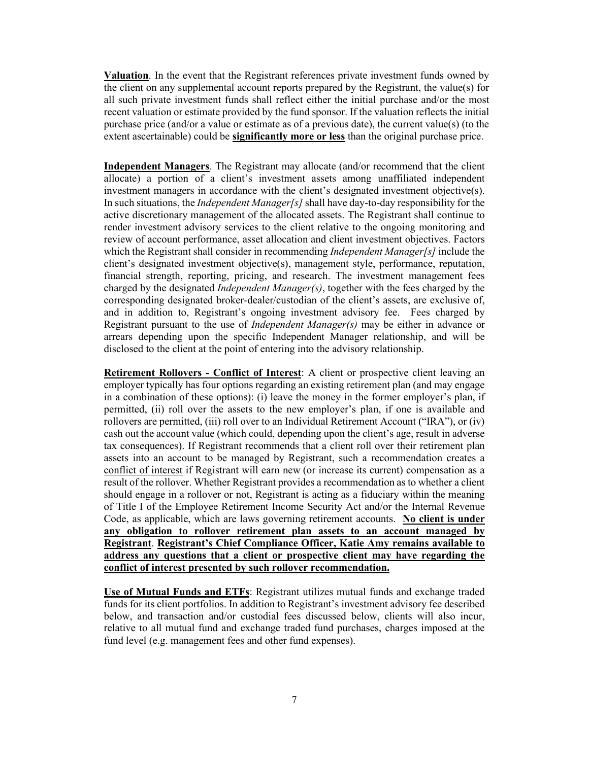**Valuation**. In the event that the Registrant references private investment funds owned by the client on any supplemental account reports prepared by the Registrant, the value(s) for all such private investment funds shall reflect either the initial purchase and/or the most recent valuation or estimate provided by the fund sponsor. If the valuation reflects the initial purchase price (and/or a value or estimate as of a previous date), the current value(s) (to the extent ascertainable) could be **significantly more or less** than the original purchase price.

**Independent Managers**. The Registrant may allocate (and/or recommend that the client allocate) a portion of a client's investment assets among unaffiliated independent investment managers in accordance with the client's designated investment objective(s). In such situations, the *Independent Manager[s]* shall have day-to-day responsibility for the active discretionary management of the allocated assets. The Registrant shall continue to render investment advisory services to the client relative to the ongoing monitoring and review of account performance, asset allocation and client investment objectives. Factors which the Registrant shall consider in recommending *Independent Manager[s]* include the client's designated investment objective(s), management style, performance, reputation, financial strength, reporting, pricing, and research. The investment management fees charged by the designated *Independent Manager(s)*, together with the fees charged by the corresponding designated broker-dealer/custodian of the client's assets, are exclusive of, and in addition to, Registrant's ongoing investment advisory fee. Fees charged by Registrant pursuant to the use of *Independent Manager(s)* may be either in advance or arrears depending upon the specific Independent Manager relationship, and will be disclosed to the client at the point of entering into the advisory relationship.

**Retirement Rollovers - Conflict of Interest**: A client or prospective client leaving an employer typically has four options regarding an existing retirement plan (and may engage in a combination of these options): (i) leave the money in the former employer's plan, if permitted, (ii) roll over the assets to the new employer's plan, if one is available and rollovers are permitted, (iii) roll over to an Individual Retirement Account ("IRA"), or (iv) cash out the account value (which could, depending upon the client's age, result in adverse tax consequences). If Registrant recommends that a client roll over their retirement plan assets into an account to be managed by Registrant, such a recommendation creates a conflict of interest if Registrant will earn new (or increase its current) compensation as a result of the rollover. Whether Registrant provides a recommendation as to whether a client should engage in a rollover or not, Registrant is acting as a fiduciary within the meaning of Title I of the Employee Retirement Income Security Act and/or the Internal Revenue Code, as applicable, which are laws governing retirement accounts. **No client is under any obligation to rollover retirement plan assets to an account managed by Registrant**. **Registrant's Chief Compliance Officer, Katie Amy remains available to address any questions that a client or prospective client may have regarding the conflict of interest presented by such rollover recommendation.**

**Use of Mutual Funds and ETFs**: Registrant utilizes mutual funds and exchange traded funds for its client portfolios. In addition to Registrant's investment advisory fee described below, and transaction and/or custodial fees discussed below, clients will also incur, relative to all mutual fund and exchange traded fund purchases, charges imposed at the fund level (e.g. management fees and other fund expenses).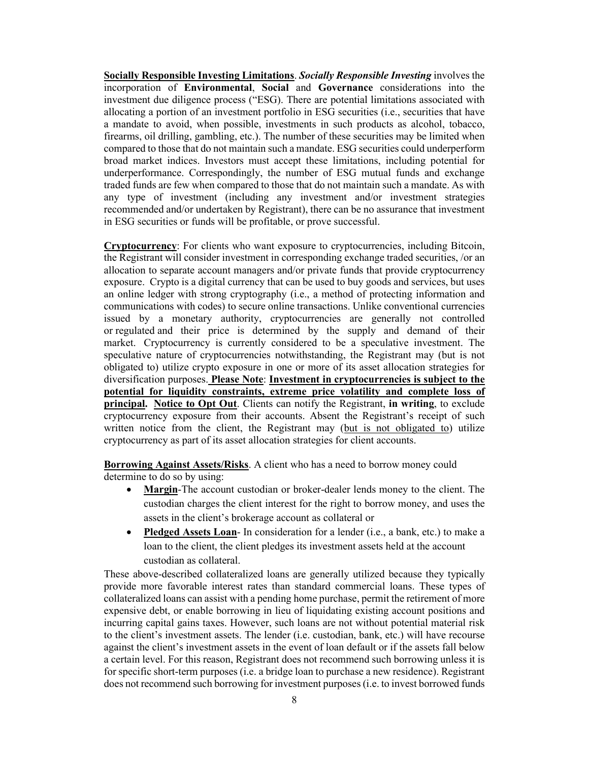**Socially Responsible Investing Limitations**. *Socially Responsible Investing* involves the incorporation of **Environmental**, **Social** and **Governance** considerations into the investment due diligence process ("ESG). There are potential limitations associated with allocating a portion of an investment portfolio in ESG securities (i.e., securities that have a mandate to avoid, when possible, investments in such products as alcohol, tobacco, firearms, oil drilling, gambling, etc.). The number of these securities may be limited when compared to those that do not maintain such a mandate. ESG securities could underperform broad market indices. Investors must accept these limitations, including potential for underperformance. Correspondingly, the number of ESG mutual funds and exchange traded funds are few when compared to those that do not maintain such a mandate. As with any type of investment (including any investment and/or investment strategies recommended and/or undertaken by Registrant), there can be no assurance that investment in ESG securities or funds will be profitable, or prove successful.

**Cryptocurrency**: For clients who want exposure to cryptocurrencies, including Bitcoin, the Registrant will consider investment in corresponding exchange traded securities, /or an allocation to separate account managers and/or private funds that provide cryptocurrency exposure. Crypto is a digital currency that can be used to buy goods and services, but uses an online ledger with strong cryptography (i.e., a method of protecting information and communications with codes) to secure online transactions. Unlike conventional currencies issued by a monetary authority, cryptocurrencies are generally not controlled or regulated and their price is determined by the supply and demand of their market. Cryptocurrency is currently considered to be a speculative investment. The speculative nature of cryptocurrencies notwithstanding, the Registrant may (but is not obligated to) utilize crypto exposure in one or more of its asset allocation strategies for diversification purposes. **Please Note**: **Investment in cryptocurrencies is subject to the potential for liquidity constraints, extreme price volatility and complete loss of principal. Notice to Opt Out**. Clients can notify the Registrant, **in writing**, to exclude cryptocurrency exposure from their accounts. Absent the Registrant's receipt of such written notice from the client, the Registrant may (but is not obligated to) utilize cryptocurrency as part of its asset allocation strategies for client accounts.

**Borrowing Against Assets/Risks**. A client who has a need to borrow money could determine to do so by using:

- **Margin**-The account custodian or broker-dealer lends money to the client. The custodian charges the client interest for the right to borrow money, and uses the assets in the client's brokerage account as collateral or
- **Pledged Assets Loan** In consideration for a lender (i.e., a bank, etc.) to make a loan to the client, the client pledges its investment assets held at the account custodian as collateral.

These above-described collateralized loans are generally utilized because they typically provide more favorable interest rates than standard commercial loans. These types of collateralized loans can assist with a pending home purchase, permit the retirement of more expensive debt, or enable borrowing in lieu of liquidating existing account positions and incurring capital gains taxes. However, such loans are not without potential material risk to the client's investment assets. The lender (i.e. custodian, bank, etc.) will have recourse against the client's investment assets in the event of loan default or if the assets fall below a certain level. For this reason, Registrant does not recommend such borrowing unless it is for specific short-term purposes (i.e. a bridge loan to purchase a new residence). Registrant does not recommend such borrowing for investment purposes (i.e. to invest borrowed funds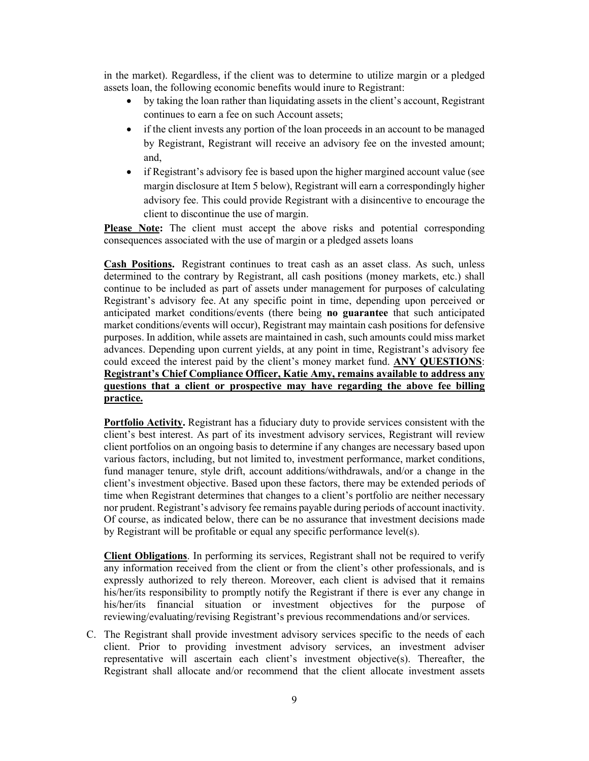in the market). Regardless, if the client was to determine to utilize margin or a pledged assets loan, the following economic benefits would inure to Registrant:

- by taking the loan rather than liquidating assets in the client's account, Registrant continues to earn a fee on such Account assets;
- if the client invests any portion of the loan proceeds in an account to be managed by Registrant, Registrant will receive an advisory fee on the invested amount; and,
- if Registrant's advisory fee is based upon the higher margined account value (see margin disclosure at Item 5 below), Registrant will earn a correspondingly higher advisory fee. This could provide Registrant with a disincentive to encourage the client to discontinue the use of margin.

**Please Note:** The client must accept the above risks and potential corresponding consequences associated with the use of margin or a pledged assets loans

**Cash Positions.** Registrant continues to treat cash as an asset class. As such, unless determined to the contrary by Registrant, all cash positions (money markets, etc.) shall continue to be included as part of assets under management for purposes of calculating Registrant's advisory fee. At any specific point in time, depending upon perceived or anticipated market conditions/events (there being **no guarantee** that such anticipated market conditions/events will occur), Registrant may maintain cash positions for defensive purposes. In addition, while assets are maintained in cash, such amounts could miss market advances. Depending upon current yields, at any point in time, Registrant's advisory fee could exceed the interest paid by the client's money market fund. **ANY QUESTIONS**: **Registrant's Chief Compliance Officer, Katie Amy, remains available to address any questions that a client or prospective may have regarding the above fee billing practice.**

**Portfolio Activity.** Registrant has a fiduciary duty to provide services consistent with the client's best interest. As part of its investment advisory services, Registrant will review client portfolios on an ongoing basis to determine if any changes are necessary based upon various factors, including, but not limited to, investment performance, market conditions, fund manager tenure, style drift, account additions/withdrawals, and/or a change in the client's investment objective. Based upon these factors, there may be extended periods of time when Registrant determines that changes to a client's portfolio are neither necessary nor prudent. Registrant's advisory fee remains payable during periods of account inactivity. Of course, as indicated below, there can be no assurance that investment decisions made by Registrant will be profitable or equal any specific performance level(s).

**Client Obligations**. In performing its services, Registrant shall not be required to verify any information received from the client or from the client's other professionals, and is expressly authorized to rely thereon. Moreover, each client is advised that it remains his/her/its responsibility to promptly notify the Registrant if there is ever any change in his/her/its financial situation or investment objectives for the purpose of reviewing/evaluating/revising Registrant's previous recommendations and/or services.

C. The Registrant shall provide investment advisory services specific to the needs of each client. Prior to providing investment advisory services, an investment adviser representative will ascertain each client's investment objective(s). Thereafter, the Registrant shall allocate and/or recommend that the client allocate investment assets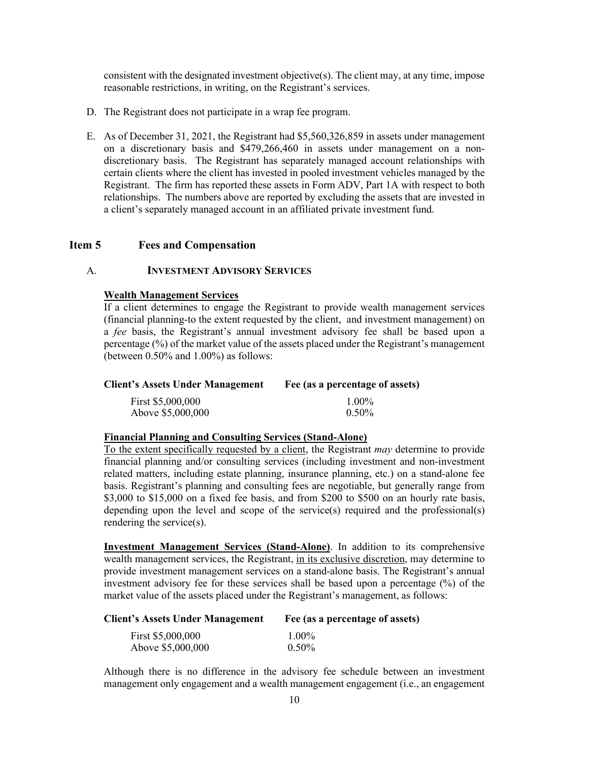consistent with the designated investment objective(s). The client may, at any time, impose reasonable restrictions, in writing, on the Registrant's services.

- D. The Registrant does not participate in a wrap fee program.
- E. As of December 31, 2021, the Registrant had \$5,560,326,859 in assets under management on a discretionary basis and \$479,266,460 in assets under management on a nondiscretionary basis. The Registrant has separately managed account relationships with certain clients where the client has invested in pooled investment vehicles managed by the Registrant. The firm has reported these assets in Form ADV, Part 1A with respect to both relationships. The numbers above are reported by excluding the assets that are invested in a client's separately managed account in an affiliated private investment fund.

## <span id="page-9-0"></span>**Item 5 Fees and Compensation**

## A. **INVESTMENT ADVISORY SERVICES**

### **Wealth Management Services**

If a client determines to engage the Registrant to provide wealth management services (financial planning-to the extent requested by the client, and investment management) on a *fee* basis, the Registrant's annual investment advisory fee shall be based upon a percentage (%) of the market value of the assets placed under the Registrant's management (between 0.50% and 1.00%) as follows:

| <b>Client's Assets Under Management</b> | Fee (as a percentage of assets) |
|-----------------------------------------|---------------------------------|
| First \$5,000,000                       | $1.00\%$                        |
| Above \$5,000,000                       | $0.50\%$                        |

### **Financial Planning and Consulting Services (Stand-Alone)**

To the extent specifically requested by a client, the Registrant *may* determine to provide financial planning and/or consulting services (including investment and non-investment related matters, including estate planning, insurance planning, etc.) on a stand-alone fee basis. Registrant's planning and consulting fees are negotiable, but generally range from \$3,000 to \$15,000 on a fixed fee basis, and from \$200 to \$500 on an hourly rate basis, depending upon the level and scope of the service(s) required and the professional(s) rendering the service(s).

**Investment Management Services (Stand-Alone)**. In addition to its comprehensive wealth management services, the Registrant, in its exclusive discretion, may determine to provide investment management services on a stand-alone basis. The Registrant's annual investment advisory fee for these services shall be based upon a percentage (%) of the market value of the assets placed under the Registrant's management, as follows:

| <b>Client's Assets Under Management</b> | Fee (as a percentage of assets) |
|-----------------------------------------|---------------------------------|
| First \$5,000,000                       | $1.00\%$                        |
| Above \$5,000,000                       | $0.50\%$                        |

Although there is no difference in the advisory fee schedule between an investment management only engagement and a wealth management engagement (i.e., an engagement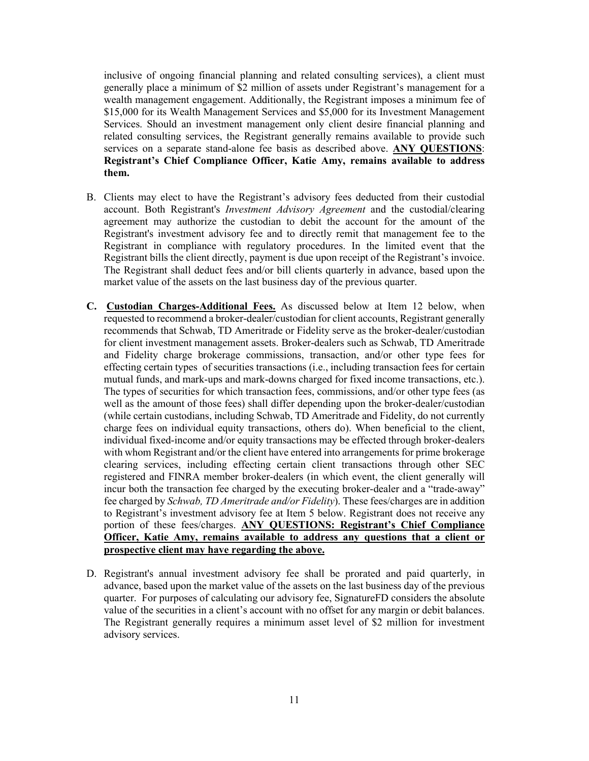inclusive of ongoing financial planning and related consulting services), a client must generally place a minimum of \$2 million of assets under Registrant's management for a wealth management engagement. Additionally, the Registrant imposes a minimum fee of \$15,000 for its Wealth Management Services and \$5,000 for its Investment Management Services. Should an investment management only client desire financial planning and related consulting services, the Registrant generally remains available to provide such services on a separate stand-alone fee basis as described above. **ANY QUESTIONS**: **Registrant's Chief Compliance Officer, Katie Amy, remains available to address them.**

- B. Clients may elect to have the Registrant's advisory fees deducted from their custodial account. Both Registrant's *Investment Advisory Agreement* and the custodial/clearing agreement may authorize the custodian to debit the account for the amount of the Registrant's investment advisory fee and to directly remit that management fee to the Registrant in compliance with regulatory procedures. In the limited event that the Registrant bills the client directly, payment is due upon receipt of the Registrant's invoice. The Registrant shall deduct fees and/or bill clients quarterly in advance, based upon the market value of the assets on the last business day of the previous quarter.
- **C. Custodian Charges-Additional Fees.** As discussed below at Item 12 below, when requested to recommend a broker-dealer/custodian for client accounts, Registrant generally recommends that Schwab, TD Ameritrade or Fidelity serve as the broker-dealer/custodian for client investment management assets. Broker-dealers such as Schwab, TD Ameritrade and Fidelity charge brokerage commissions, transaction, and/or other type fees for effecting certain types of securities transactions (i.e., including transaction fees for certain mutual funds, and mark-ups and mark-downs charged for fixed income transactions, etc.). The types of securities for which transaction fees, commissions, and/or other type fees (as well as the amount of those fees) shall differ depending upon the broker-dealer/custodian (while certain custodians, including Schwab, TD Ameritrade and Fidelity, do not currently charge fees on individual equity transactions, others do). When beneficial to the client, individual fixed‐income and/or equity transactions may be effected through broker‐dealers with whom Registrant and/or the client have entered into arrangements for prime brokerage clearing services, including effecting certain client transactions through other SEC registered and FINRA member broker‐dealers (in which event, the client generally will incur both the transaction fee charged by the executing broker‐dealer and a "trade-away" fee charged by *Schwab, TD Ameritrade and/or Fidelity*). These fees/charges are in addition to Registrant's investment advisory fee at Item 5 below. Registrant does not receive any portion of these fees/charges. **ANY QUESTIONS: Registrant's Chief Compliance Officer, Katie Amy, remains available to address any questions that a client or prospective client may have regarding the above.**
- D. Registrant's annual investment advisory fee shall be prorated and paid quarterly, in advance, based upon the market value of the assets on the last business day of the previous quarter. For purposes of calculating our advisory fee, SignatureFD considers the absolute value of the securities in a client's account with no offset for any margin or debit balances. The Registrant generally requires a minimum asset level of \$2 million for investment advisory services.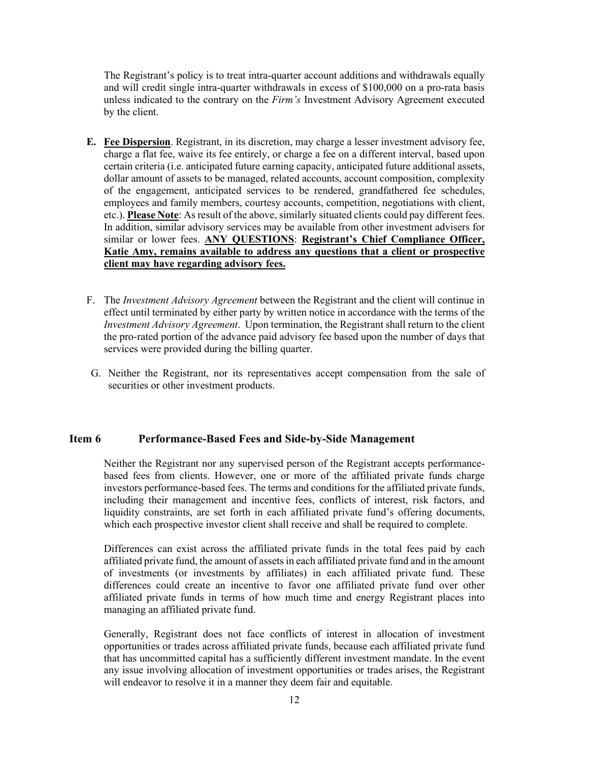The Registrant's policy is to treat intra-quarter account additions and withdrawals equally and will credit single intra-quarter withdrawals in excess of \$100,000 on a pro-rata basis unless indicated to the contrary on the *Firm's* Investment Advisory Agreement executed by the client.

- **E. Fee Dispersion**. Registrant, in its discretion, may charge a lesser investment advisory fee, charge a flat fee, waive its fee entirely, or charge a fee on a different interval, based upon certain criteria (i.e. anticipated future earning capacity, anticipated future additional assets, dollar amount of assets to be managed, related accounts, account composition, complexity of the engagement, anticipated services to be rendered, grandfathered fee schedules, employees and family members, courtesy accounts, competition, negotiations with client, etc.). **Please Note**: As result of the above, similarly situated clients could pay different fees. In addition, similar advisory services may be available from other investment advisers for similar or lower fees. **ANY QUESTIONS**: **Registrant's Chief Compliance Officer, Katie Amy, remains available to address any questions that a client or prospective client may have regarding advisory fees.**
- F. The *Investment Advisory Agreement* between the Registrant and the client will continue in effect until terminated by either party by written notice in accordance with the terms of the *Investment Advisory Agreement*. Upon termination, the Registrant shall return to the client the pro-rated portion of the advance paid advisory fee based upon the number of days that services were provided during the billing quarter.
- G. Neither the Registrant, nor its representatives accept compensation from the sale of securities or other investment products.

## <span id="page-11-0"></span>**Item 6 Performance-Based Fees and Side-by-Side Management**

Neither the Registrant nor any supervised person of the Registrant accepts performancebased fees from clients. However, one or more of the affiliated private funds charge investors performance-based fees. The terms and conditions for the affiliated private funds, including their management and incentive fees, conflicts of interest, risk factors, and liquidity constraints, are set forth in each affiliated private fund's offering documents, which each prospective investor client shall receive and shall be required to complete.

Differences can exist across the affiliated private funds in the total fees paid by each affiliated private fund, the amount of assets in each affiliated private fund and in the amount of investments (or investments by affiliates) in each affiliated private fund. These differences could create an incentive to favor one affiliated private fund over other affiliated private funds in terms of how much time and energy Registrant places into managing an affiliated private fund.

Generally, Registrant does not face conflicts of interest in allocation of investment opportunities or trades across affiliated private funds, because each affiliated private fund that has uncommitted capital has a sufficiently different investment mandate. In the event any issue involving allocation of investment opportunities or trades arises, the Registrant will endeavor to resolve it in a manner they deem fair and equitable.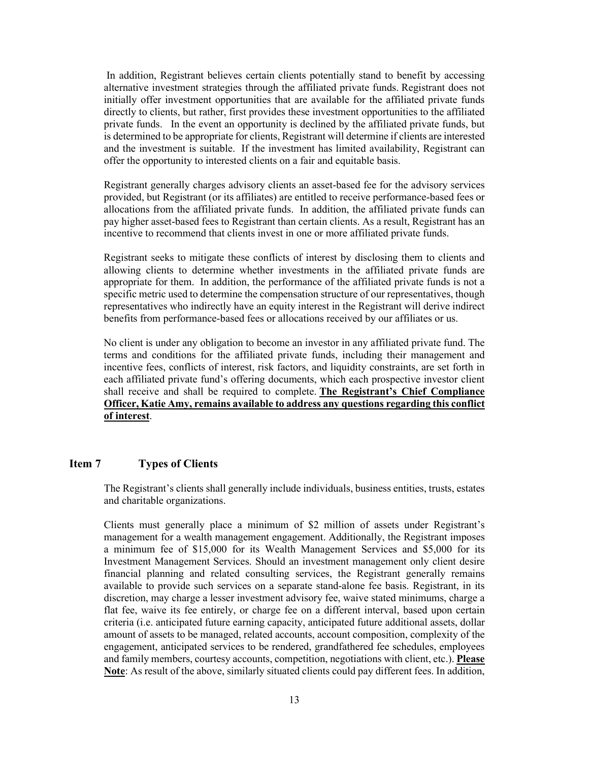In addition, Registrant believes certain clients potentially stand to benefit by accessing alternative investment strategies through the affiliated private funds. Registrant does not initially offer investment opportunities that are available for the affiliated private funds directly to clients, but rather, first provides these investment opportunities to the affiliated private funds. In the event an opportunity is declined by the affiliated private funds, but is determined to be appropriate for clients, Registrant will determine if clients are interested and the investment is suitable. If the investment has limited availability, Registrant can offer the opportunity to interested clients on a fair and equitable basis.

Registrant generally charges advisory clients an asset-based fee for the advisory services provided, but Registrant (or its affiliates) are entitled to receive performance-based fees or allocations from the affiliated private funds. In addition, the affiliated private funds can pay higher asset-based fees to Registrant than certain clients. As a result, Registrant has an incentive to recommend that clients invest in one or more affiliated private funds.

Registrant seeks to mitigate these conflicts of interest by disclosing them to clients and allowing clients to determine whether investments in the affiliated private funds are appropriate for them. In addition, the performance of the affiliated private funds is not a specific metric used to determine the compensation structure of our representatives, though representatives who indirectly have an equity interest in the Registrant will derive indirect benefits from performance-based fees or allocations received by our affiliates or us.

No client is under any obligation to become an investor in any affiliated private fund. The terms and conditions for the affiliated private funds, including their management and incentive fees, conflicts of interest, risk factors, and liquidity constraints, are set forth in each affiliated private fund's offering documents, which each prospective investor client shall receive and shall be required to complete. **The Registrant's Chief Compliance Officer, Katie Amy, remains available to address any questions regarding this conflict of interest**.

### <span id="page-12-0"></span>**Item 7 Types of Clients**

The Registrant's clients shall generally include individuals, business entities, trusts, estates and charitable organizations.

Clients must generally place a minimum of \$2 million of assets under Registrant's management for a wealth management engagement. Additionally, the Registrant imposes a minimum fee of \$15,000 for its Wealth Management Services and \$5,000 for its Investment Management Services. Should an investment management only client desire financial planning and related consulting services, the Registrant generally remains available to provide such services on a separate stand-alone fee basis. Registrant, in its discretion, may charge a lesser investment advisory fee, waive stated minimums, charge a flat fee, waive its fee entirely, or charge fee on a different interval, based upon certain criteria (i.e. anticipated future earning capacity, anticipated future additional assets, dollar amount of assets to be managed, related accounts, account composition, complexity of the engagement, anticipated services to be rendered, grandfathered fee schedules, employees and family members, courtesy accounts, competition, negotiations with client, etc.). **Please Note**: As result of the above, similarly situated clients could pay different fees. In addition,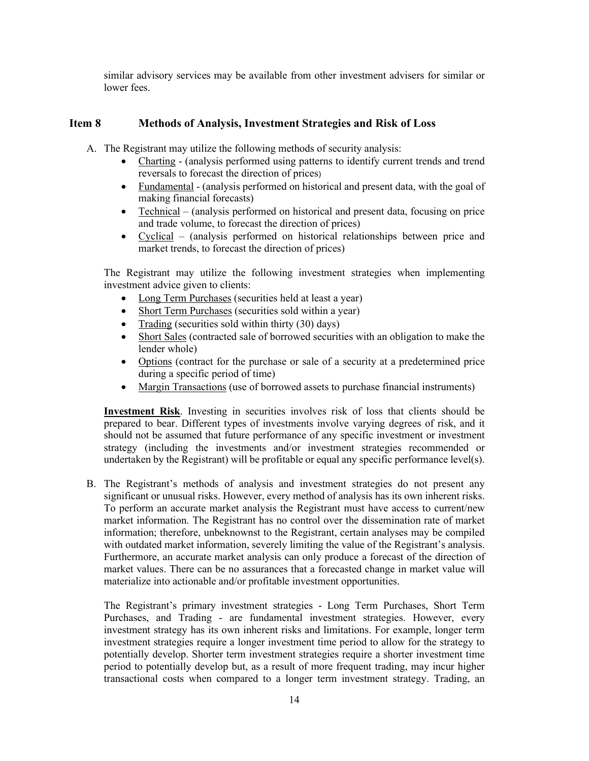similar advisory services may be available from other investment advisers for similar or lower fees.

# <span id="page-13-0"></span>**Item 8 Methods of Analysis, Investment Strategies and Risk of Loss**

A. The Registrant may utilize the following methods of security analysis:

- Charting (analysis performed using patterns to identify current trends and trend reversals to forecast the direction of prices)
- Fundamental (analysis performed on historical and present data, with the goal of making financial forecasts)
- Technical (analysis performed on historical and present data, focusing on price and trade volume, to forecast the direction of prices)
- Cyclical (analysis performed on historical relationships between price and market trends, to forecast the direction of prices)

The Registrant may utilize the following investment strategies when implementing investment advice given to clients:

- Long Term Purchases (securities held at least a year)
- Short Term Purchases (securities sold within a year)
- Trading (securities sold within thirty (30) days)
- Short Sales (contracted sale of borrowed securities with an obligation to make the lender whole)
- Options (contract for the purchase or sale of a security at a predetermined price during a specific period of time)
- Margin Transactions (use of borrowed assets to purchase financial instruments)

**Investment Risk**. Investing in securities involves risk of loss that clients should be prepared to bear. Different types of investments involve varying degrees of risk, and it should not be assumed that future performance of any specific investment or investment strategy (including the investments and/or investment strategies recommended or undertaken by the Registrant) will be profitable or equal any specific performance level(s).

B. The Registrant's methods of analysis and investment strategies do not present any significant or unusual risks. However, every method of analysis has its own inherent risks. To perform an accurate market analysis the Registrant must have access to current/new market information. The Registrant has no control over the dissemination rate of market information; therefore, unbeknownst to the Registrant, certain analyses may be compiled with outdated market information, severely limiting the value of the Registrant's analysis. Furthermore, an accurate market analysis can only produce a forecast of the direction of market values. There can be no assurances that a forecasted change in market value will materialize into actionable and/or profitable investment opportunities.

The Registrant's primary investment strategies - Long Term Purchases, Short Term Purchases, and Trading - are fundamental investment strategies. However, every investment strategy has its own inherent risks and limitations. For example, longer term investment strategies require a longer investment time period to allow for the strategy to potentially develop. Shorter term investment strategies require a shorter investment time period to potentially develop but, as a result of more frequent trading, may incur higher transactional costs when compared to a longer term investment strategy. Trading, an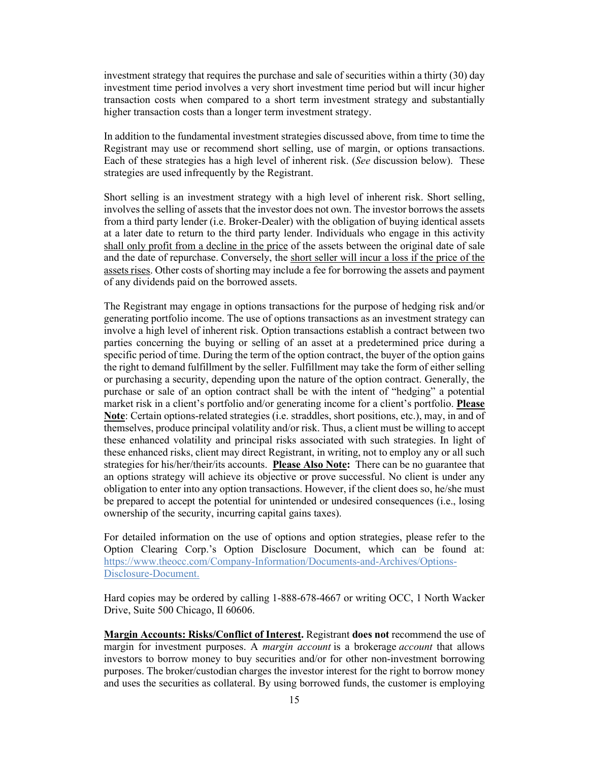investment strategy that requires the purchase and sale of securities within a thirty (30) day investment time period involves a very short investment time period but will incur higher transaction costs when compared to a short term investment strategy and substantially higher transaction costs than a longer term investment strategy.

In addition to the fundamental investment strategies discussed above, from time to time the Registrant may use or recommend short selling, use of margin, or options transactions. Each of these strategies has a high level of inherent risk. (*See* discussion below). These strategies are used infrequently by the Registrant.

Short selling is an investment strategy with a high level of inherent risk. Short selling, involves the selling of assets that the investor does not own. The investor borrows the assets from a third party lender (i.e. Broker-Dealer) with the obligation of buying identical assets at a later date to return to the third party lender. Individuals who engage in this activity shall only profit from a decline in the price of the assets between the original date of sale and the date of repurchase. Conversely, the short seller will incur a loss if the price of the assets rises. Other costs of shorting may include a fee for borrowing the assets and payment of any dividends paid on the borrowed assets.

The Registrant may engage in options transactions for the purpose of hedging risk and/or generating portfolio income. The use of options transactions as an investment strategy can involve a high level of inherent risk. Option transactions establish a contract between two parties concerning the buying or selling of an asset at a predetermined price during a specific period of time. During the term of the option contract, the buyer of the option gains the right to demand fulfillment by the seller. Fulfillment may take the form of either selling or purchasing a security, depending upon the nature of the option contract. Generally, the purchase or sale of an option contract shall be with the intent of "hedging" a potential market risk in a client's portfolio and/or generating income for a client's portfolio. **Please Note**: Certain options-related strategies (i.e. straddles, short positions, etc.), may, in and of themselves, produce principal volatility and/or risk. Thus, a client must be willing to accept these enhanced volatility and principal risks associated with such strategies. In light of these enhanced risks, client may direct Registrant, in writing, not to employ any or all such strategies for his/her/their/its accounts. **Please Also Note:** There can be no guarantee that an options strategy will achieve its objective or prove successful. No client is under any obligation to enter into any option transactions. However, if the client does so, he/she must be prepared to accept the potential for unintended or undesired consequences (i.e., losing ownership of the security, incurring capital gains taxes).

For detailed information on the use of options and option strategies, please refer to the Option Clearing Corp.'s Option Disclosure Document, which can be found at: [https://www.theocc.com/Company-Information/Documents-and-Archives/Options-](https://www.theocc.com/Company-Information/Documents-and-Archives/Options-Disclosure-Document)[Disclosure-Document.](https://www.theocc.com/Company-Information/Documents-and-Archives/Options-Disclosure-Document)

Hard copies may be ordered by calling 1-888-678-4667 or writing OCC, 1 North Wacker Drive, Suite 500 Chicago, Il 60606.

**Margin Accounts: Risks/Conflict of Interest.** Registrant **does not** recommend the use of margin for investment purposes. A *margin account* is a brokerage *account* that allows investors to borrow money to buy securities and/or for other non-investment borrowing purposes. The broker/custodian charges the investor interest for the right to borrow money and uses the securities as collateral. By using borrowed funds, the customer is employing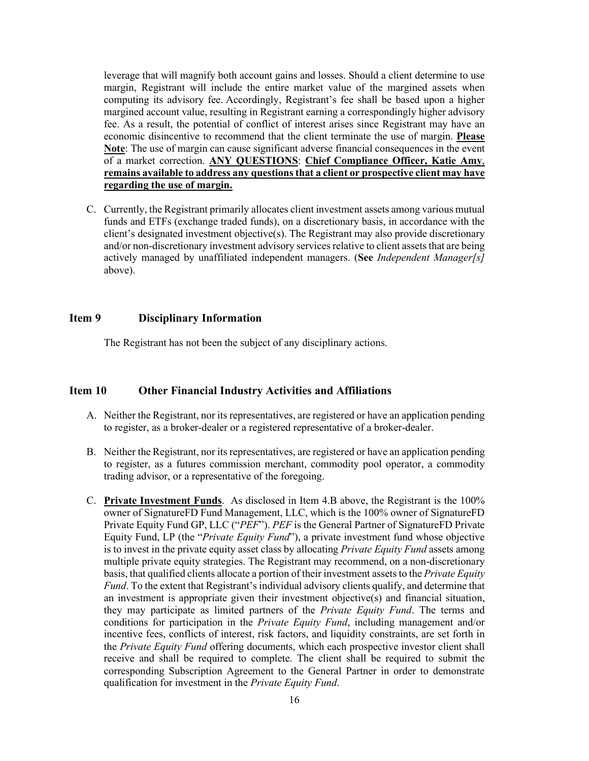leverage that will magnify both account gains and losses. Should a client determine to use margin, Registrant will include the entire market value of the margined assets when computing its advisory fee. Accordingly, Registrant's fee shall be based upon a higher margined account value, resulting in Registrant earning a correspondingly higher advisory fee. As a result, the potential of conflict of interest arises since Registrant may have an economic disincentive to recommend that the client terminate the use of margin. **Please Note**: The use of margin can cause significant adverse financial consequences in the event of a market correction. **ANY QUESTIONS**: **Chief Compliance Officer, Katie Amy**, **remains available to address any questions that a client or prospective client may have regarding the use of margin.**

C. Currently, the Registrant primarily allocates client investment assets among various mutual funds and ETFs (exchange traded funds), on a discretionary basis, in accordance with the client's designated investment objective(s). The Registrant may also provide discretionary and/or non-discretionary investment advisory services relative to client assets that are being actively managed by unaffiliated independent managers. (**See** *Independent Manager[s]* above).

## <span id="page-15-0"></span>**Item 9 Disciplinary Information**

The Registrant has not been the subject of any disciplinary actions.

# <span id="page-15-1"></span>**Item 10 Other Financial Industry Activities and Affiliations**

- A. Neither the Registrant, nor its representatives, are registered or have an application pending to register, as a broker-dealer or a registered representative of a broker-dealer.
- B. Neither the Registrant, nor its representatives, are registered or have an application pending to register, as a futures commission merchant, commodity pool operator, a commodity trading advisor, or a representative of the foregoing.
- C. **Private Investment Funds**. As disclosed in Item 4.B above, the Registrant is the 100% owner of SignatureFD Fund Management, LLC, which is the 100% owner of SignatureFD Private Equity Fund GP, LLC ("*PEF*"). *PEF* is the General Partner of SignatureFD Private Equity Fund, LP (the "*Private Equity Fund*"), a private investment fund whose objective is to invest in the private equity asset class by allocating *Private Equity Fund* assets among multiple private equity strategies. The Registrant may recommend, on a non-discretionary basis, that qualified clients allocate a portion of their investment assets to the *Private Equity Fund*. To the extent that Registrant's individual advisory clients qualify, and determine that an investment is appropriate given their investment objective(s) and financial situation, they may participate as limited partners of the *Private Equity Fund*. The terms and conditions for participation in the *Private Equity Fund*, including management and/or incentive fees, conflicts of interest, risk factors, and liquidity constraints, are set forth in the *Private Equity Fund* offering documents, which each prospective investor client shall receive and shall be required to complete. The client shall be required to submit the corresponding Subscription Agreement to the General Partner in order to demonstrate qualification for investment in the *Private Equity Fund*.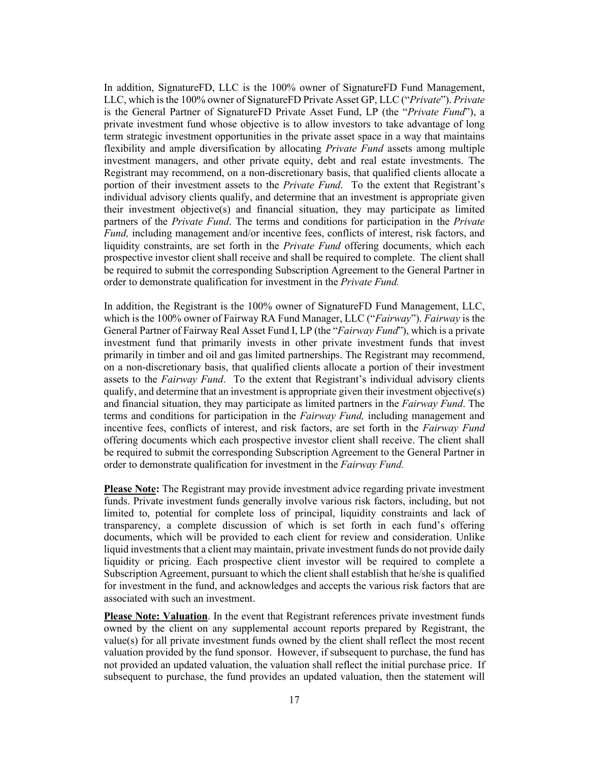In addition, SignatureFD, LLC is the 100% owner of SignatureFD Fund Management, LLC, which is the 100% owner of SignatureFD Private Asset GP, LLC ("*Private*"). *Private*  is the General Partner of SignatureFD Private Asset Fund, LP (the "*Private Fund*"), a private investment fund whose objective is to allow investors to take advantage of long term strategic investment opportunities in the private asset space in a way that maintains flexibility and ample diversification by allocating *Private Fund* assets among multiple investment managers, and other private equity, debt and real estate investments. The Registrant may recommend, on a non-discretionary basis, that qualified clients allocate a portion of their investment assets to the *Private Fund*. To the extent that Registrant's individual advisory clients qualify, and determine that an investment is appropriate given their investment objective(s) and financial situation, they may participate as limited partners of the *Private Fund*. The terms and conditions for participation in the *Private Fund,* including management and/or incentive fees, conflicts of interest, risk factors, and liquidity constraints, are set forth in the *Private Fund* offering documents, which each prospective investor client shall receive and shall be required to complete. The client shall be required to submit the corresponding Subscription Agreement to the General Partner in order to demonstrate qualification for investment in the *Private Fund.*

In addition, the Registrant is the 100% owner of SignatureFD Fund Management, LLC, which is the 100% owner of Fairway RA Fund Manager, LLC ("*Fairway*"). *Fairway* is the General Partner of Fairway Real Asset Fund I, LP (the "*Fairway Fund*"), which is a private investment fund that primarily invests in other private investment funds that invest primarily in timber and oil and gas limited partnerships. The Registrant may recommend, on a non-discretionary basis, that qualified clients allocate a portion of their investment assets to the *Fairway Fund*. To the extent that Registrant's individual advisory clients qualify, and determine that an investment is appropriate given their investment objective(s) and financial situation, they may participate as limited partners in the *Fairway Fund*. The terms and conditions for participation in the *Fairway Fund,* including management and incentive fees, conflicts of interest, and risk factors, are set forth in the *Fairway Fund* offering documents which each prospective investor client shall receive. The client shall be required to submit the corresponding Subscription Agreement to the General Partner in order to demonstrate qualification for investment in the *Fairway Fund.* 

**Please Note:** The Registrant may provide investment advice regarding private investment funds. Private investment funds generally involve various risk factors, including, but not limited to, potential for complete loss of principal, liquidity constraints and lack of transparency, a complete discussion of which is set forth in each fund's offering documents, which will be provided to each client for review and consideration. Unlike liquid investments that a client may maintain, private investment funds do not provide daily liquidity or pricing. Each prospective client investor will be required to complete a Subscription Agreement, pursuant to which the client shall establish that he/she is qualified for investment in the fund, and acknowledges and accepts the various risk factors that are associated with such an investment.

**Please Note: Valuation**. In the event that Registrant references private investment funds owned by the client on any supplemental account reports prepared by Registrant, the value(s) for all private investment funds owned by the client shall reflect the most recent valuation provided by the fund sponsor. However, if subsequent to purchase, the fund has not provided an updated valuation, the valuation shall reflect the initial purchase price. If subsequent to purchase, the fund provides an updated valuation, then the statement will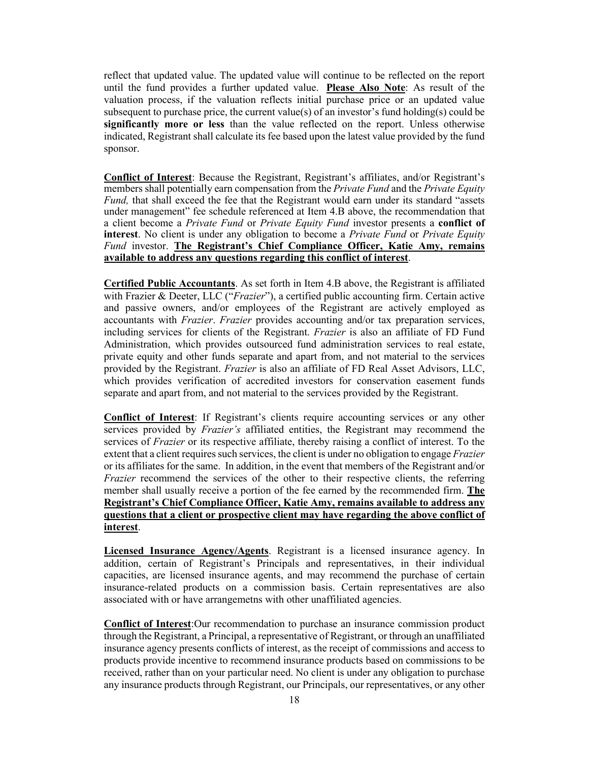reflect that updated value. The updated value will continue to be reflected on the report until the fund provides a further updated value. **Please Also Note**: As result of the valuation process, if the valuation reflects initial purchase price or an updated value subsequent to purchase price, the current value(s) of an investor's fund holding(s) could be **significantly more or less** than the value reflected on the report. Unless otherwise indicated, Registrant shall calculate its fee based upon the latest value provided by the fund sponsor.

**Conflict of Interest**: Because the Registrant, Registrant's affiliates, and/or Registrant's members shall potentially earn compensation from the *Private Fund* and the *Private Equity Fund,* that shall exceed the fee that the Registrant would earn under its standard "assets under management" fee schedule referenced at Item 4.B above, the recommendation that a client become a *Private Fund* or *Private Equity Fund* investor presents a **conflict of interest**. No client is under any obligation to become a *Private Fund* or *Private Equity Fund* investor. **The Registrant's Chief Compliance Officer, Katie Amy, remains available to address any questions regarding this conflict of interest**.

**Certified Public Accountants**. As set forth in Item 4.B above, the Registrant is affiliated with Frazier & Deeter, LLC ("*Frazier*"), a certified public accounting firm. Certain active and passive owners, and/or employees of the Registrant are actively employed as accountants with *Frazier*. *Frazier* provides accounting and/or tax preparation services, including services for clients of the Registrant. *Frazier* is also an affiliate of FD Fund Administration, which provides outsourced fund administration services to real estate, private equity and other funds separate and apart from, and not material to the services provided by the Registrant. *Frazier* is also an affiliate of FD Real Asset Advisors, LLC, which provides verification of accredited investors for conservation easement funds separate and apart from, and not material to the services provided by the Registrant.

**Conflict of Interest**: If Registrant's clients require accounting services or any other services provided by *Frazier's* affiliated entities, the Registrant may recommend the services of *Frazier* or its respective affiliate, thereby raising a conflict of interest. To the extent that a client requires such services, the client is under no obligation to engage *Frazier* or its affiliates for the same. In addition, in the event that members of the Registrant and/or *Frazier* recommend the services of the other to their respective clients, the referring member shall usually receive a portion of the fee earned by the recommended firm. **The Registrant's Chief Compliance Officer, Katie Amy, remains available to address any questions that a client or prospective client may have regarding the above conflict of interest**.

**Licensed Insurance Agency/Agents**. Registrant is a licensed insurance agency. In addition, certain of Registrant's Principals and representatives, in their individual capacities, are licensed insurance agents, and may recommend the purchase of certain insurance-related products on a commission basis. Certain representatives are also associated with or have arrangemetns with other unaffiliated agencies.

**Conflict of Interest**:Our recommendation to purchase an insurance commission product through the Registrant, a Principal, a representative of Registrant, or through an unaffiliated insurance agency presents conflicts of interest, as the receipt of commissions and access to products provide incentive to recommend insurance products based on commissions to be received, rather than on your particular need. No client is under any obligation to purchase any insurance products through Registrant, our Principals, our representatives, or any other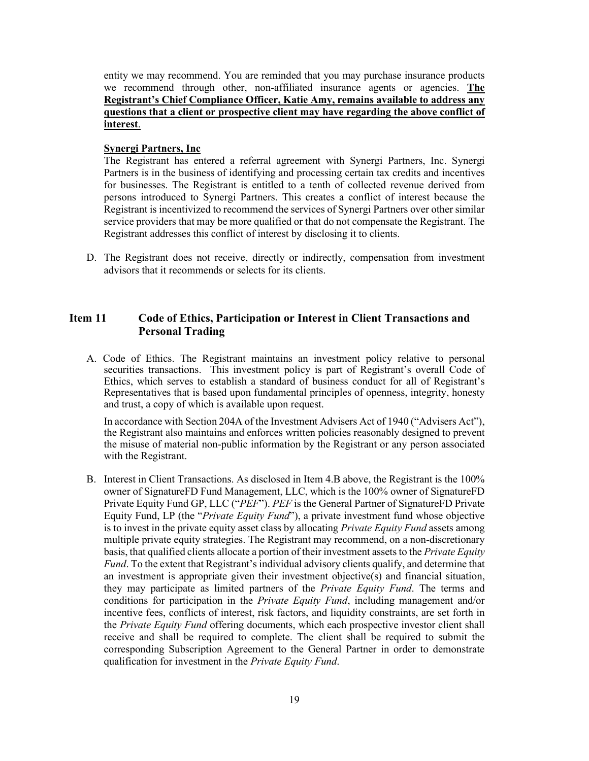entity we may recommend. You are reminded that you may purchase insurance products we recommend through other, non-affiliated insurance agents or agencies. **The Registrant's Chief Compliance Officer, Katie Amy, remains available to address any questions that a client or prospective client may have regarding the above conflict of interest**.

### **Synergi Partners, Inc**

The Registrant has entered a referral agreement with Synergi Partners, Inc. Synergi Partners is in the business of identifying and processing certain tax credits and incentives for businesses. The Registrant is entitled to a tenth of collected revenue derived from persons introduced to Synergi Partners. This creates a conflict of interest because the Registrant is incentivized to recommend the services of Synergi Partners over other similar service providers that may be more qualified or that do not compensate the Registrant. The Registrant addresses this conflict of interest by disclosing it to clients.

D. The Registrant does not receive, directly or indirectly, compensation from investment advisors that it recommends or selects for its clients.

# <span id="page-18-0"></span>**Item 11 Code of Ethics, Participation or Interest in Client Transactions and Personal Trading**

A. Code of Ethics. The Registrant maintains an investment policy relative to personal securities transactions. This investment policy is part of Registrant's overall Code of Ethics, which serves to establish a standard of business conduct for all of Registrant's Representatives that is based upon fundamental principles of openness, integrity, honesty and trust, a copy of which is available upon request.

In accordance with Section 204A of the Investment Advisers Act of 1940 ("Advisers Act"), the Registrant also maintains and enforces written policies reasonably designed to prevent the misuse of material non-public information by the Registrant or any person associated with the Registrant.

B. Interest in Client Transactions. As disclosed in Item 4.B above, the Registrant is the 100% owner of SignatureFD Fund Management, LLC, which is the 100% owner of SignatureFD Private Equity Fund GP, LLC ("*PEF*"). *PEF* is the General Partner of SignatureFD Private Equity Fund, LP (the "*Private Equity Fund*"), a private investment fund whose objective is to invest in the private equity asset class by allocating *Private Equity Fund* assets among multiple private equity strategies. The Registrant may recommend, on a non-discretionary basis, that qualified clients allocate a portion of their investment assets to the *Private Equity Fund*. To the extent that Registrant's individual advisory clients qualify, and determine that an investment is appropriate given their investment objective(s) and financial situation, they may participate as limited partners of the *Private Equity Fund*. The terms and conditions for participation in the *Private Equity Fund*, including management and/or incentive fees, conflicts of interest, risk factors, and liquidity constraints, are set forth in the *Private Equity Fund* offering documents, which each prospective investor client shall receive and shall be required to complete. The client shall be required to submit the corresponding Subscription Agreement to the General Partner in order to demonstrate qualification for investment in the *Private Equity Fund*.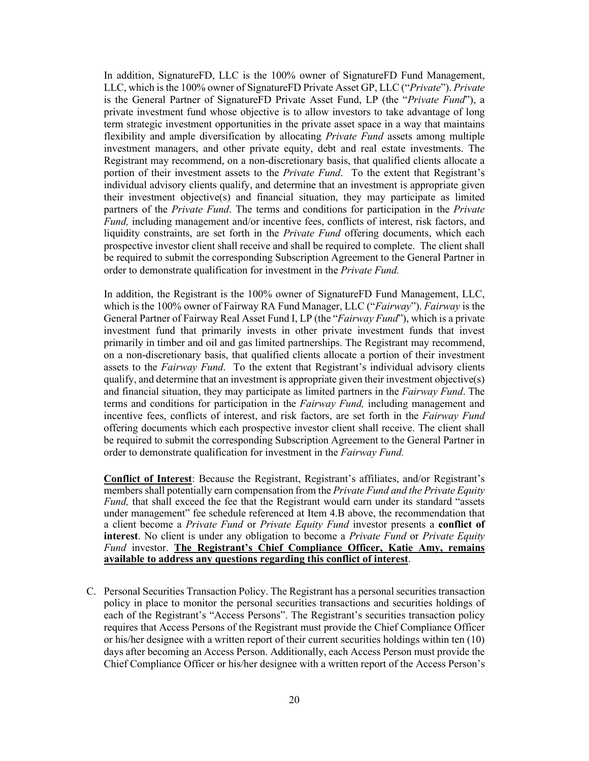In addition, SignatureFD, LLC is the 100% owner of SignatureFD Fund Management, LLC, which is the 100% owner of SignatureFD Private Asset GP, LLC ("*Private*"). *Private*  is the General Partner of SignatureFD Private Asset Fund, LP (the "*Private Fund*"), a private investment fund whose objective is to allow investors to take advantage of long term strategic investment opportunities in the private asset space in a way that maintains flexibility and ample diversification by allocating *Private Fund* assets among multiple investment managers, and other private equity, debt and real estate investments. The Registrant may recommend, on a non-discretionary basis, that qualified clients allocate a portion of their investment assets to the *Private Fund*. To the extent that Registrant's individual advisory clients qualify, and determine that an investment is appropriate given their investment objective(s) and financial situation, they may participate as limited partners of the *Private Fund*. The terms and conditions for participation in the *Private Fund,* including management and/or incentive fees, conflicts of interest, risk factors, and liquidity constraints, are set forth in the *Private Fund* offering documents, which each prospective investor client shall receive and shall be required to complete. The client shall be required to submit the corresponding Subscription Agreement to the General Partner in order to demonstrate qualification for investment in the *Private Fund.*

In addition, the Registrant is the 100% owner of SignatureFD Fund Management, LLC, which is the 100% owner of Fairway RA Fund Manager, LLC ("*Fairway*"). *Fairway* is the General Partner of Fairway Real Asset Fund I, LP (the "*Fairway Fund*"), which is a private investment fund that primarily invests in other private investment funds that invest primarily in timber and oil and gas limited partnerships. The Registrant may recommend, on a non-discretionary basis, that qualified clients allocate a portion of their investment assets to the *Fairway Fund*. To the extent that Registrant's individual advisory clients qualify, and determine that an investment is appropriate given their investment objective(s) and financial situation, they may participate as limited partners in the *Fairway Fund*. The terms and conditions for participation in the *Fairway Fund,* including management and incentive fees, conflicts of interest, and risk factors, are set forth in the *Fairway Fund* offering documents which each prospective investor client shall receive. The client shall be required to submit the corresponding Subscription Agreement to the General Partner in order to demonstrate qualification for investment in the *Fairway Fund.* 

**Conflict of Interest**: Because the Registrant, Registrant's affiliates, and/or Registrant's members shall potentially earn compensation from the *Private Fund and the Private Equity Fund,* that shall exceed the fee that the Registrant would earn under its standard "assets under management" fee schedule referenced at Item 4.B above, the recommendation that a client become a *Private Fund* or *Private Equity Fund* investor presents a **conflict of interest**. No client is under any obligation to become a *Private Fund* or *Private Equity Fund* investor. **The Registrant's Chief Compliance Officer, Katie Amy, remains available to address any questions regarding this conflict of interest**.

C. Personal Securities Transaction Policy. The Registrant has a personal securities transaction policy in place to monitor the personal securities transactions and securities holdings of each of the Registrant's "Access Persons". The Registrant's securities transaction policy requires that Access Persons of the Registrant must provide the Chief Compliance Officer or his/her designee with a written report of their current securities holdings within ten (10) days after becoming an Access Person. Additionally, each Access Person must provide the Chief Compliance Officer or his/her designee with a written report of the Access Person's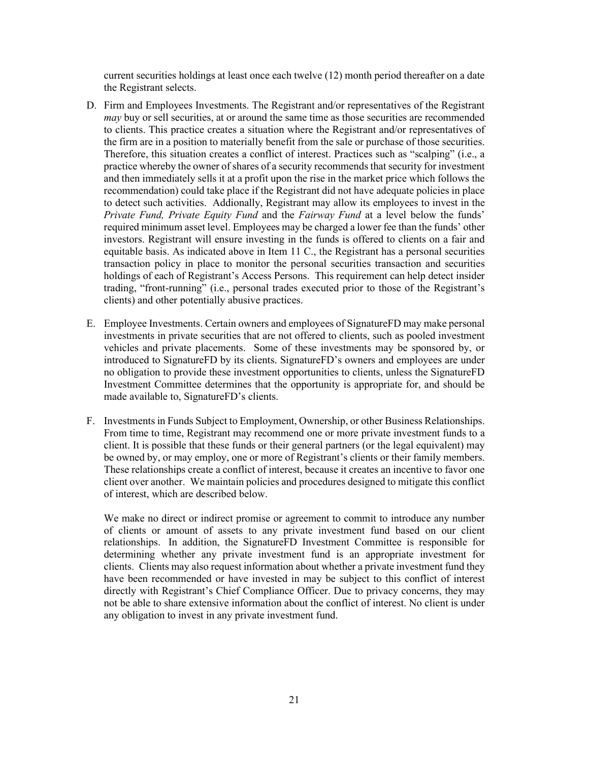current securities holdings at least once each twelve (12) month period thereafter on a date the Registrant selects.

- D. Firm and Employees Investments. The Registrant and/or representatives of the Registrant *may* buy or sell securities, at or around the same time as those securities are recommended to clients. This practice creates a situation where the Registrant and/or representatives of the firm are in a position to materially benefit from the sale or purchase of those securities. Therefore, this situation creates a conflict of interest. Practices such as "scalping" (i.e., a practice whereby the owner of shares of a security recommends that security for investment and then immediately sells it at a profit upon the rise in the market price which follows the recommendation) could take place if the Registrant did not have adequate policies in place to detect such activities. Addionally, Registrant may allow its employees to invest in the *Private Fund, Private Equity Fund* and the *Fairway Fund* at a level below the funds' required minimum asset level. Employees may be charged a lower fee than the funds' other investors. Registrant will ensure investing in the funds is offered to clients on a fair and equitable basis. As indicated above in Item 11 C., the Registrant has a personal securities transaction policy in place to monitor the personal securities transaction and securities holdings of each of Registrant's Access Persons. This requirement can help detect insider trading, "front-running" (i.e., personal trades executed prior to those of the Registrant's clients) and other potentially abusive practices.
- E. Employee Investments. Certain owners and employees of SignatureFD may make personal investments in private securities that are not offered to clients, such as pooled investment vehicles and private placements. Some of these investments may be sponsored by, or introduced to SignatureFD by its clients. SignatureFD's owners and employees are under no obligation to provide these investment opportunities to clients, unless the SignatureFD Investment Committee determines that the opportunity is appropriate for, and should be made available to, SignatureFD's clients.
- F. Investments in Funds Subject to Employment, Ownership, or other Business Relationships. From time to time, Registrant may recommend one or more private investment funds to a client. It is possible that these funds or their general partners (or the legal equivalent) may be owned by, or may employ, one or more of Registrant's clients or their family members. These relationships create a conflict of interest, because it creates an incentive to favor one client over another. We maintain policies and procedures designed to mitigate this conflict of interest, which are described below.

We make no direct or indirect promise or agreement to commit to introduce any number of clients or amount of assets to any private investment fund based on our client relationships. In addition, the SignatureFD Investment Committee is responsible for determining whether any private investment fund is an appropriate investment for clients. Clients may also request information about whether a private investment fund they have been recommended or have invested in may be subject to this conflict of interest directly with Registrant's Chief Compliance Officer. Due to privacy concerns, they may not be able to share extensive information about the conflict of interest. No client is under any obligation to invest in any private investment fund.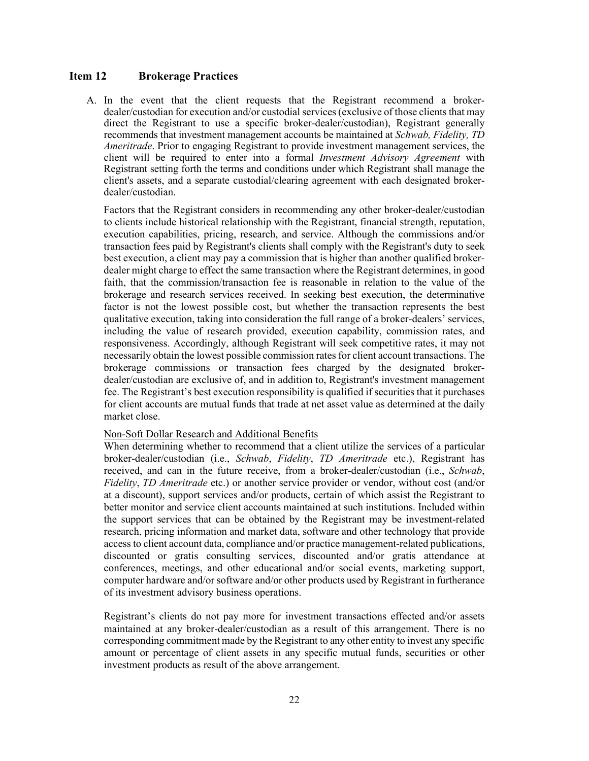## <span id="page-21-0"></span>**Item 12 Brokerage Practices**

A. In the event that the client requests that the Registrant recommend a brokerdealer/custodian for execution and/or custodial services (exclusive of those clients that may direct the Registrant to use a specific broker-dealer/custodian), Registrant generally recommends that investment management accounts be maintained at *Schwab, Fidelity, TD Ameritrade*. Prior to engaging Registrant to provide investment management services, the client will be required to enter into a formal *Investment Advisory Agreement* with Registrant setting forth the terms and conditions under which Registrant shall manage the client's assets, and a separate custodial/clearing agreement with each designated brokerdealer/custodian.

Factors that the Registrant considers in recommending any other broker-dealer/custodian to clients include historical relationship with the Registrant, financial strength, reputation, execution capabilities, pricing, research, and service. Although the commissions and/or transaction fees paid by Registrant's clients shall comply with the Registrant's duty to seek best execution, a client may pay a commission that is higher than another qualified brokerdealer might charge to effect the same transaction where the Registrant determines, in good faith, that the commission/transaction fee is reasonable in relation to the value of the brokerage and research services received. In seeking best execution, the determinative factor is not the lowest possible cost, but whether the transaction represents the best qualitative execution, taking into consideration the full range of a broker-dealers' services, including the value of research provided, execution capability, commission rates, and responsiveness. Accordingly, although Registrant will seek competitive rates, it may not necessarily obtain the lowest possible commission rates for client account transactions. The brokerage commissions or transaction fees charged by the designated brokerdealer/custodian are exclusive of, and in addition to, Registrant's investment management fee. The Registrant's best execution responsibility is qualified if securities that it purchases for client accounts are mutual funds that trade at net asset value as determined at the daily market close.

### Non-Soft Dollar Research and Additional Benefits

When determining whether to recommend that a client utilize the services of a particular broker-dealer/custodian (i.e., *Schwab*, *Fidelity*, *TD Ameritrade* etc.), Registrant has received, and can in the future receive, from a broker-dealer/custodian (i.e., *Schwab*, *Fidelity*, *TD Ameritrade* etc.) or another service provider or vendor, without cost (and/or at a discount), support services and/or products, certain of which assist the Registrant to better monitor and service client accounts maintained at such institutions. Included within the support services that can be obtained by the Registrant may be investment-related research, pricing information and market data, software and other technology that provide access to client account data, compliance and/or practice management-related publications, discounted or gratis consulting services, discounted and/or gratis attendance at conferences, meetings, and other educational and/or social events, marketing support, computer hardware and/or software and/or other products used by Registrant in furtherance of its investment advisory business operations.

Registrant's clients do not pay more for investment transactions effected and/or assets maintained at any broker-dealer/custodian as a result of this arrangement. There is no corresponding commitment made by the Registrant to any other entity to invest any specific amount or percentage of client assets in any specific mutual funds, securities or other investment products as result of the above arrangement.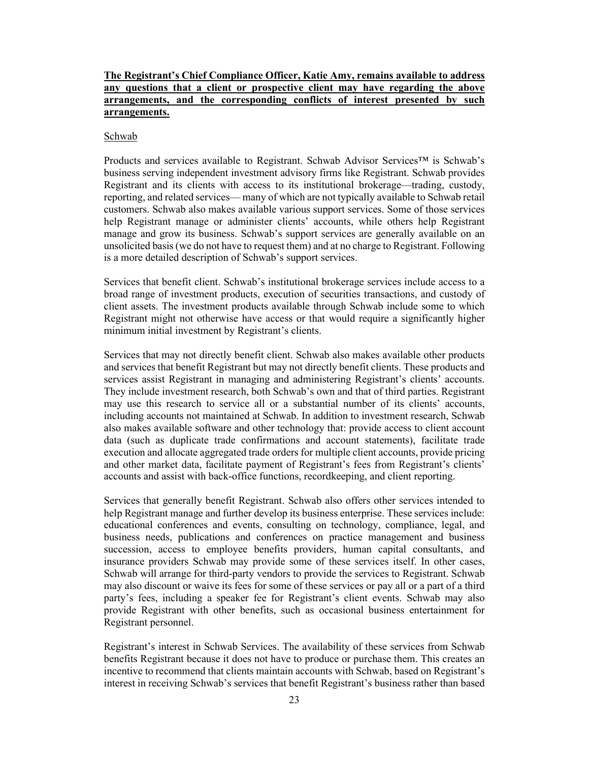# **The Registrant's Chief Compliance Officer, Katie Amy, remains available to address any questions that a client or prospective client may have regarding the above arrangements, and the corresponding conflicts of interest presented by such arrangements.**

#### Schwab

Products and services available to Registrant. Schwab Advisor Services™ is Schwab's business serving independent investment advisory firms like Registrant. Schwab provides Registrant and its clients with access to its institutional brokerage—trading, custody, reporting, and related services— many of which are not typically available to Schwab retail customers. Schwab also makes available various support services. Some of those services help Registrant manage or administer clients' accounts, while others help Registrant manage and grow its business. Schwab's support services are generally available on an unsolicited basis (we do not have to request them) and at no charge to Registrant. Following is a more detailed description of Schwab's support services.

Services that benefit client. Schwab's institutional brokerage services include access to a broad range of investment products, execution of securities transactions, and custody of client assets. The investment products available through Schwab include some to which Registrant might not otherwise have access or that would require a significantly higher minimum initial investment by Registrant's clients.

Services that may not directly benefit client. Schwab also makes available other products and services that benefit Registrant but may not directly benefit clients. These products and services assist Registrant in managing and administering Registrant's clients' accounts. They include investment research, both Schwab's own and that of third parties. Registrant may use this research to service all or a substantial number of its clients' accounts, including accounts not maintained at Schwab. In addition to investment research, Schwab also makes available software and other technology that: provide access to client account data (such as duplicate trade confirmations and account statements), facilitate trade execution and allocate aggregated trade orders for multiple client accounts, provide pricing and other market data, facilitate payment of Registrant's fees from Registrant's clients' accounts and assist with back-office functions, recordkeeping, and client reporting.

Services that generally benefit Registrant. Schwab also offers other services intended to help Registrant manage and further develop its business enterprise. These services include: educational conferences and events, consulting on technology, compliance, legal, and business needs, publications and conferences on practice management and business succession, access to employee benefits providers, human capital consultants, and insurance providers Schwab may provide some of these services itself. In other cases, Schwab will arrange for third-party vendors to provide the services to Registrant. Schwab may also discount or waive its fees for some of these services or pay all or a part of a third party's fees, including a speaker fee for Registrant's client events. Schwab may also provide Registrant with other benefits, such as occasional business entertainment for Registrant personnel.

Registrant's interest in Schwab Services. The availability of these services from Schwab benefits Registrant because it does not have to produce or purchase them. This creates an incentive to recommend that clients maintain accounts with Schwab, based on Registrant's interest in receiving Schwab's services that benefit Registrant's business rather than based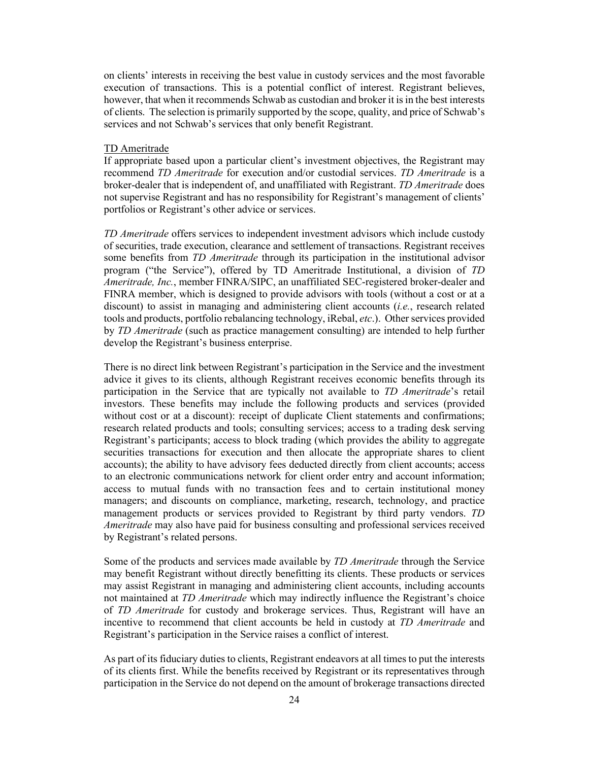on clients' interests in receiving the best value in custody services and the most favorable execution of transactions. This is a potential conflict of interest. Registrant believes, however, that when it recommends Schwab as custodian and broker it is in the best interests of clients. The selection is primarily supported by the scope, quality, and price of Schwab's services and not Schwab's services that only benefit Registrant.

#### TD Ameritrade

If appropriate based upon a particular client's investment objectives, the Registrant may recommend *TD Ameritrade* for execution and/or custodial services. *TD Ameritrade* is a broker-dealer that is independent of, and unaffiliated with Registrant. *TD Ameritrade* does not supervise Registrant and has no responsibility for Registrant's management of clients' portfolios or Registrant's other advice or services.

*TD Ameritrade* offers services to independent investment advisors which include custody of securities, trade execution, clearance and settlement of transactions. Registrant receives some benefits from *TD Ameritrade* through its participation in the institutional advisor program ("the Service"), offered by TD Ameritrade Institutional, a division of *TD Ameritrade, Inc.*, member FINRA/SIPC, an unaffiliated SEC-registered broker-dealer and FINRA member, which is designed to provide advisors with tools (without a cost or at a discount) to assist in managing and administering client accounts (*i.e.*, research related tools and products, portfolio rebalancing technology, iRebal, *etc*.). Other services provided by *TD Ameritrade* (such as practice management consulting) are intended to help further develop the Registrant's business enterprise.

There is no direct link between Registrant's participation in the Service and the investment advice it gives to its clients, although Registrant receives economic benefits through its participation in the Service that are typically not available to *TD Ameritrade*'s retail investors. These benefits may include the following products and services (provided without cost or at a discount): receipt of duplicate Client statements and confirmations; research related products and tools; consulting services; access to a trading desk serving Registrant's participants; access to block trading (which provides the ability to aggregate securities transactions for execution and then allocate the appropriate shares to client accounts); the ability to have advisory fees deducted directly from client accounts; access to an electronic communications network for client order entry and account information; access to mutual funds with no transaction fees and to certain institutional money managers; and discounts on compliance, marketing, research, technology, and practice management products or services provided to Registrant by third party vendors. *TD Ameritrade* may also have paid for business consulting and professional services received by Registrant's related persons.

Some of the products and services made available by *TD Ameritrade* through the Service may benefit Registrant without directly benefitting its clients. These products or services may assist Registrant in managing and administering client accounts, including accounts not maintained at *TD Ameritrade* which may indirectly influence the Registrant's choice of *TD Ameritrade* for custody and brokerage services. Thus, Registrant will have an incentive to recommend that client accounts be held in custody at *TD Ameritrade* and Registrant's participation in the Service raises a conflict of interest.

As part of its fiduciary duties to clients, Registrant endeavors at all times to put the interests of its clients first. While the benefits received by Registrant or its representatives through participation in the Service do not depend on the amount of brokerage transactions directed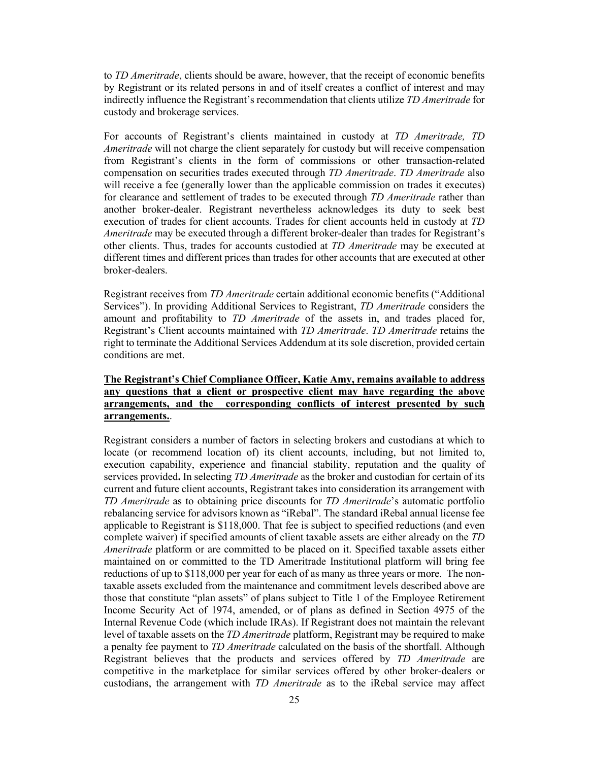to *TD Ameritrade*, clients should be aware, however, that the receipt of economic benefits by Registrant or its related persons in and of itself creates a conflict of interest and may indirectly influence the Registrant's recommendation that clients utilize *TD Ameritrade* for custody and brokerage services.

For accounts of Registrant's clients maintained in custody at *TD Ameritrade, TD Ameritrade* will not charge the client separately for custody but will receive compensation from Registrant's clients in the form of commissions or other transaction-related compensation on securities trades executed through *TD Ameritrade*. *TD Ameritrade* also will receive a fee (generally lower than the applicable commission on trades it executes) for clearance and settlement of trades to be executed through *TD Ameritrade* rather than another broker-dealer. Registrant nevertheless acknowledges its duty to seek best execution of trades for client accounts. Trades for client accounts held in custody at *TD Ameritrade* may be executed through a different broker-dealer than trades for Registrant's other clients. Thus, trades for accounts custodied at *TD Ameritrade* may be executed at different times and different prices than trades for other accounts that are executed at other broker-dealers.

Registrant receives from *TD Ameritrade* certain additional economic benefits ("Additional Services"). In providing Additional Services to Registrant, *TD Ameritrade* considers the amount and profitability to *TD Ameritrade* of the assets in, and trades placed for, Registrant's Client accounts maintained with *TD Ameritrade*. *TD Ameritrade* retains the right to terminate the Additional Services Addendum at its sole discretion, provided certain conditions are met.

# **The Registrant's Chief Compliance Officer, Katie Amy, remains available to address any questions that a client or prospective client may have regarding the above arrangements, and the corresponding conflicts of interest presented by such arrangements.**.

Registrant considers a number of factors in selecting brokers and custodians at which to locate (or recommend location of) its client accounts, including, but not limited to, execution capability, experience and financial stability, reputation and the quality of services provided**.** In selecting *TD Ameritrade* as the broker and custodian for certain of its current and future client accounts, Registrant takes into consideration its arrangement with *TD Ameritrade* as to obtaining price discounts for *TD Ameritrade*'s automatic portfolio rebalancing service for advisors known as "iRebal". The standard iRebal annual license fee applicable to Registrant is \$118,000. That fee is subject to specified reductions (and even complete waiver) if specified amounts of client taxable assets are either already on the *TD Ameritrade* platform or are committed to be placed on it. Specified taxable assets either maintained on or committed to the TD Ameritrade Institutional platform will bring fee reductions of up to \$118,000 per year for each of as many as three years or more. The nontaxable assets excluded from the maintenance and commitment levels described above are those that constitute "plan assets" of plans subject to Title 1 of the Employee Retirement Income Security Act of 1974, amended, or of plans as defined in Section 4975 of the Internal Revenue Code (which include IRAs). If Registrant does not maintain the relevant level of taxable assets on the *TD Ameritrade* platform, Registrant may be required to make a penalty fee payment to *TD Ameritrade* calculated on the basis of the shortfall. Although Registrant believes that the products and services offered by *TD Ameritrade* are competitive in the marketplace for similar services offered by other broker-dealers or custodians, the arrangement with *TD Ameritrade* as to the iRebal service may affect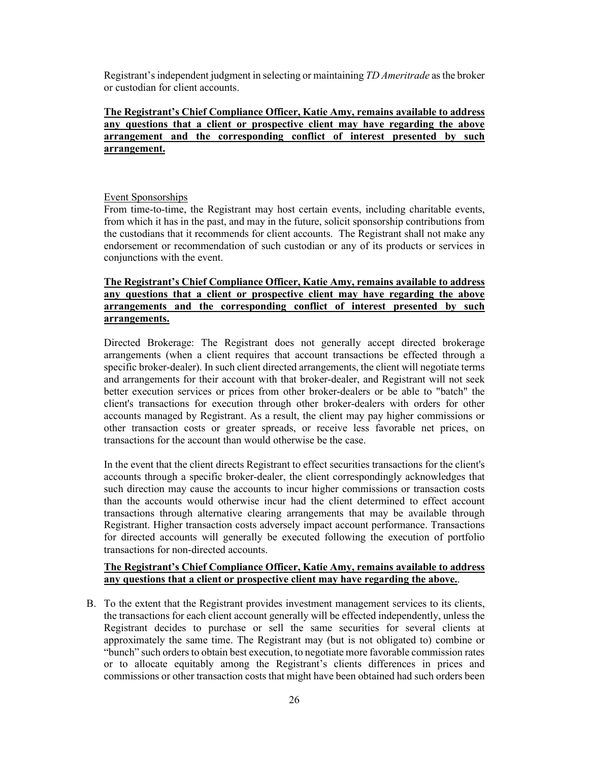Registrant'sindependent judgment in selecting or maintaining *TD Ameritrade* as the broker or custodian for client accounts.

# **The Registrant's Chief Compliance Officer, Katie Amy, remains available to address any questions that a client or prospective client may have regarding the above arrangement and the corresponding conflict of interest presented by such arrangement.**

### Event Sponsorships

From time-to-time, the Registrant may host certain events, including charitable events, from which it has in the past, and may in the future, solicit sponsorship contributions from the custodians that it recommends for client accounts. The Registrant shall not make any endorsement or recommendation of such custodian or any of its products or services in conjunctions with the event.

# **The Registrant's Chief Compliance Officer, Katie Amy, remains available to address any questions that a client or prospective client may have regarding the above arrangements and the corresponding conflict of interest presented by such arrangements.**

Directed Brokerage: The Registrant does not generally accept directed brokerage arrangements (when a client requires that account transactions be effected through a specific broker-dealer). In such client directed arrangements, the client will negotiate terms and arrangements for their account with that broker-dealer, and Registrant will not seek better execution services or prices from other broker-dealers or be able to "batch" the client's transactions for execution through other broker-dealers with orders for other accounts managed by Registrant. As a result, the client may pay higher commissions or other transaction costs or greater spreads, or receive less favorable net prices, on transactions for the account than would otherwise be the case.

In the event that the client directs Registrant to effect securities transactions for the client's accounts through a specific broker-dealer, the client correspondingly acknowledges that such direction may cause the accounts to incur higher commissions or transaction costs than the accounts would otherwise incur had the client determined to effect account transactions through alternative clearing arrangements that may be available through Registrant. Higher transaction costs adversely impact account performance. Transactions for directed accounts will generally be executed following the execution of portfolio transactions for non-directed accounts.

# **The Registrant's Chief Compliance Officer, Katie Amy, remains available to address any questions that a client or prospective client may have regarding the above.**.

B. To the extent that the Registrant provides investment management services to its clients, the transactions for each client account generally will be effected independently, unless the Registrant decides to purchase or sell the same securities for several clients at approximately the same time. The Registrant may (but is not obligated to) combine or "bunch" such orders to obtain best execution, to negotiate more favorable commission rates or to allocate equitably among the Registrant's clients differences in prices and commissions or other transaction costs that might have been obtained had such orders been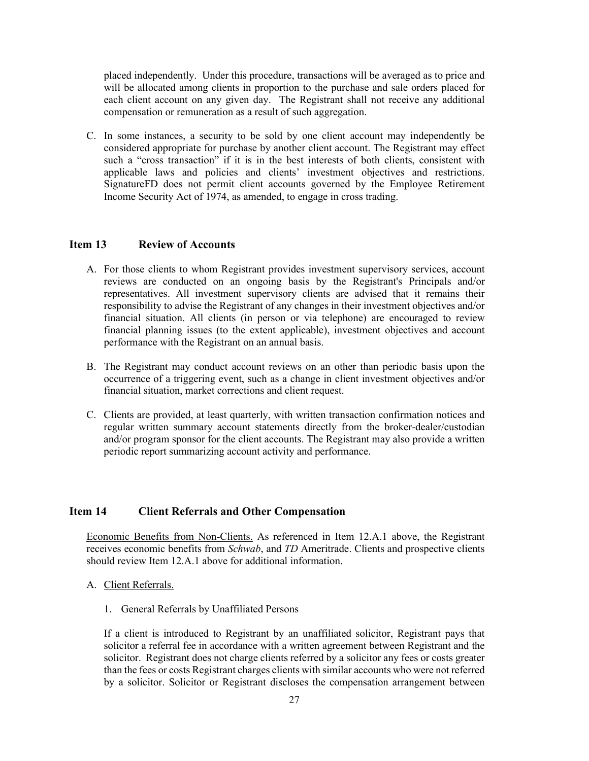placed independently. Under this procedure, transactions will be averaged as to price and will be allocated among clients in proportion to the purchase and sale orders placed for each client account on any given day. The Registrant shall not receive any additional compensation or remuneration as a result of such aggregation.

C. In some instances, a security to be sold by one client account may independently be considered appropriate for purchase by another client account. The Registrant may effect such a "cross transaction" if it is in the best interests of both clients, consistent with applicable laws and policies and clients' investment objectives and restrictions. SignatureFD does not permit client accounts governed by the Employee Retirement Income Security Act of 1974, as amended, to engage in cross trading.

## <span id="page-26-0"></span>**Item 13 Review of Accounts**

- A. For those clients to whom Registrant provides investment supervisory services, account reviews are conducted on an ongoing basis by the Registrant's Principals and/or representatives. All investment supervisory clients are advised that it remains their responsibility to advise the Registrant of any changes in their investment objectives and/or financial situation. All clients (in person or via telephone) are encouraged to review financial planning issues (to the extent applicable), investment objectives and account performance with the Registrant on an annual basis.
- B. The Registrant may conduct account reviews on an other than periodic basis upon the occurrence of a triggering event, such as a change in client investment objectives and/or financial situation, market corrections and client request.
- C. Clients are provided, at least quarterly, with written transaction confirmation notices and regular written summary account statements directly from the broker-dealer/custodian and/or program sponsor for the client accounts. The Registrant may also provide a written periodic report summarizing account activity and performance.

## <span id="page-26-1"></span>**Item 14 Client Referrals and Other Compensation**

Economic Benefits from Non-Clients. As referenced in Item 12.A.1 above, the Registrant receives economic benefits from *Schwab*, and *TD* Ameritrade. Clients and prospective clients should review Item 12.A.1 above for additional information.

- A. Client Referrals.
	- 1. General Referrals by Unaffiliated Persons

If a client is introduced to Registrant by an unaffiliated solicitor, Registrant pays that solicitor a referral fee in accordance with a written agreement between Registrant and the solicitor. Registrant does not charge clients referred by a solicitor any fees or costs greater than the fees or costs Registrant charges clients with similar accounts who were not referred by a solicitor. Solicitor or Registrant discloses the compensation arrangement between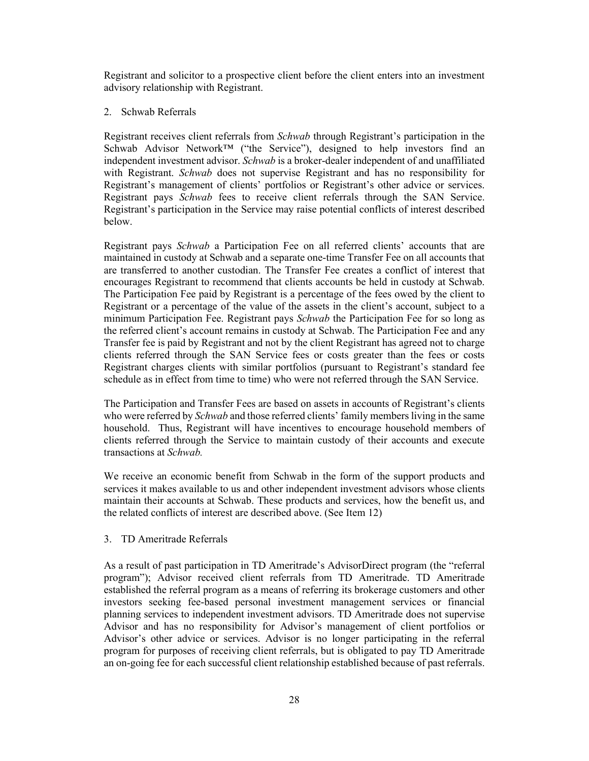Registrant and solicitor to a prospective client before the client enters into an investment advisory relationship with Registrant.

2. Schwab Referrals

Registrant receives client referrals from *Schwab* through Registrant's participation in the Schwab Advisor Network™ ("the Service"), designed to help investors find an independent investment advisor. *Schwab* is a broker-dealer independent of and unaffiliated with Registrant. *Schwab* does not supervise Registrant and has no responsibility for Registrant's management of clients' portfolios or Registrant's other advice or services. Registrant pays *Schwab* fees to receive client referrals through the SAN Service. Registrant's participation in the Service may raise potential conflicts of interest described below.

Registrant pays *Schwab* a Participation Fee on all referred clients' accounts that are maintained in custody at Schwab and a separate one-time Transfer Fee on all accounts that are transferred to another custodian. The Transfer Fee creates a conflict of interest that encourages Registrant to recommend that clients accounts be held in custody at Schwab. The Participation Fee paid by Registrant is a percentage of the fees owed by the client to Registrant or a percentage of the value of the assets in the client's account, subject to a minimum Participation Fee. Registrant pays *Schwab* the Participation Fee for so long as the referred client's account remains in custody at Schwab. The Participation Fee and any Transfer fee is paid by Registrant and not by the client Registrant has agreed not to charge clients referred through the SAN Service fees or costs greater than the fees or costs Registrant charges clients with similar portfolios (pursuant to Registrant's standard fee schedule as in effect from time to time) who were not referred through the SAN Service.

The Participation and Transfer Fees are based on assets in accounts of Registrant's clients who were referred by *Schwab* and those referred clients' family members living in the same household. Thus, Registrant will have incentives to encourage household members of clients referred through the Service to maintain custody of their accounts and execute transactions at *Schwab.*

We receive an economic benefit from Schwab in the form of the support products and services it makes available to us and other independent investment advisors whose clients maintain their accounts at Schwab. These products and services, how the benefit us, and the related conflicts of interest are described above. (See Item 12)

3. TD Ameritrade Referrals

As a result of past participation in TD Ameritrade's AdvisorDirect program (the "referral program"); Advisor received client referrals from TD Ameritrade. TD Ameritrade established the referral program as a means of referring its brokerage customers and other investors seeking fee-based personal investment management services or financial planning services to independent investment advisors. TD Ameritrade does not supervise Advisor and has no responsibility for Advisor's management of client portfolios or Advisor's other advice or services. Advisor is no longer participating in the referral program for purposes of receiving client referrals, but is obligated to pay TD Ameritrade an on-going fee for each successful client relationship established because of past referrals.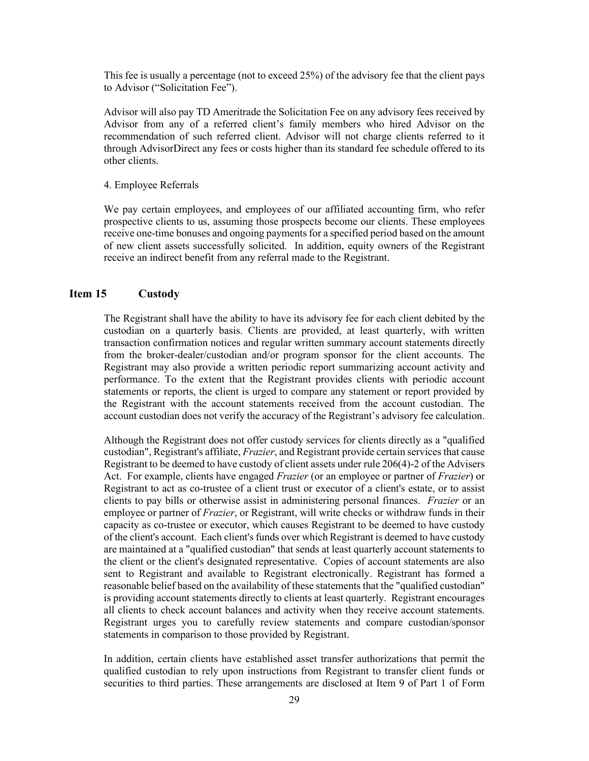This fee is usually a percentage (not to exceed 25%) of the advisory fee that the client pays to Advisor ("Solicitation Fee").

Advisor will also pay TD Ameritrade the Solicitation Fee on any advisory fees received by Advisor from any of a referred client's family members who hired Advisor on the recommendation of such referred client. Advisor will not charge clients referred to it through AdvisorDirect any fees or costs higher than its standard fee schedule offered to its other clients.

### 4. Employee Referrals

We pay certain employees, and employees of our affiliated accounting firm, who refer prospective clients to us, assuming those prospects become our clients. These employees receive one-time bonuses and ongoing payments for a specified period based on the amount of new client assets successfully solicited. In addition, equity owners of the Registrant receive an indirect benefit from any referral made to the Registrant.

### <span id="page-28-0"></span>**Item 15 Custody**

The Registrant shall have the ability to have its advisory fee for each client debited by the custodian on a quarterly basis. Clients are provided, at least quarterly, with written transaction confirmation notices and regular written summary account statements directly from the broker-dealer/custodian and/or program sponsor for the client accounts. The Registrant may also provide a written periodic report summarizing account activity and performance. To the extent that the Registrant provides clients with periodic account statements or reports, the client is urged to compare any statement or report provided by the Registrant with the account statements received from the account custodian. The account custodian does not verify the accuracy of the Registrant's advisory fee calculation.

Although the Registrant does not offer custody services for clients directly as a "qualified custodian", Registrant's affiliate, *Frazier*, and Registrant provide certain services that cause Registrant to be deemed to have custody of client assets under rule 206(4)-2 of the Advisers Act. For example, clients have engaged *Frazier* (or an employee or partner of *Frazier*) or Registrant to act as co-trustee of a client trust or executor of a client's estate, or to assist clients to pay bills or otherwise assist in administering personal finances. *Frazier* or an employee or partner of *Frazier*, or Registrant, will write checks or withdraw funds in their capacity as co-trustee or executor, which causes Registrant to be deemed to have custody of the client's account. Each client's funds over which Registrant is deemed to have custody are maintained at a "qualified custodian" that sends at least quarterly account statements to the client or the client's designated representative. Copies of account statements are also sent to Registrant and available to Registrant electronically. Registrant has formed a reasonable belief based on the availability of these statements that the "qualified custodian" is providing account statements directly to clients at least quarterly. Registrant encourages all clients to check account balances and activity when they receive account statements. Registrant urges you to carefully review statements and compare custodian/sponsor statements in comparison to those provided by Registrant.

In addition, certain clients have established asset transfer authorizations that permit the qualified custodian to rely upon instructions from Registrant to transfer client funds or securities to third parties. These arrangements are disclosed at Item 9 of Part 1 of Form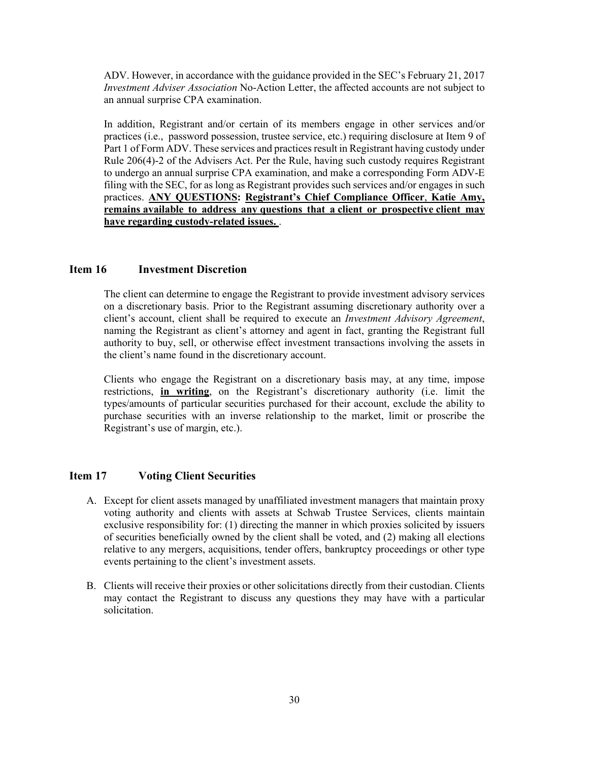ADV. However, in accordance with the guidance provided in the SEC's February 21, 2017 *Investment Adviser Association* No-Action Letter, the affected accounts are not subject to an annual surprise CPA examination.

In addition, Registrant and/or certain of its members engage in other services and/or practices (i.e., password possession, trustee service, etc.) requiring disclosure at Item 9 of Part 1 of Form ADV. These services and practices result in Registrant having custody under Rule 206(4)-2 of the Advisers Act. Per the Rule, having such custody requires Registrant to undergo an annual surprise CPA examination, and make a corresponding Form ADV-E filing with the SEC, for as long as Registrant provides such services and/or engages in such practices. **ANY QUESTIONS: Registrant's Chief Compliance Officer**, **Katie Amy, remains available to address any questions that a client or prospective client may have regarding custody-related issues.** .

# <span id="page-29-0"></span>**Item 16 Investment Discretion**

The client can determine to engage the Registrant to provide investment advisory services on a discretionary basis. Prior to the Registrant assuming discretionary authority over a client's account, client shall be required to execute an *Investment Advisory Agreement*, naming the Registrant as client's attorney and agent in fact, granting the Registrant full authority to buy, sell, or otherwise effect investment transactions involving the assets in the client's name found in the discretionary account.

Clients who engage the Registrant on a discretionary basis may, at any time, impose restrictions, **in writing**, on the Registrant's discretionary authority (i.e. limit the types/amounts of particular securities purchased for their account, exclude the ability to purchase securities with an inverse relationship to the market, limit or proscribe the Registrant's use of margin, etc.).

# <span id="page-29-1"></span>**Item 17 Voting Client Securities**

- A. Except for client assets managed by unaffiliated investment managers that maintain proxy voting authority and clients with assets at Schwab Trustee Services, clients maintain exclusive responsibility for: (1) directing the manner in which proxies solicited by issuers of securities beneficially owned by the client shall be voted, and (2) making all elections relative to any mergers, acquisitions, tender offers, bankruptcy proceedings or other type events pertaining to the client's investment assets.
- B. Clients will receive their proxies or other solicitations directly from their custodian. Clients may contact the Registrant to discuss any questions they may have with a particular solicitation.